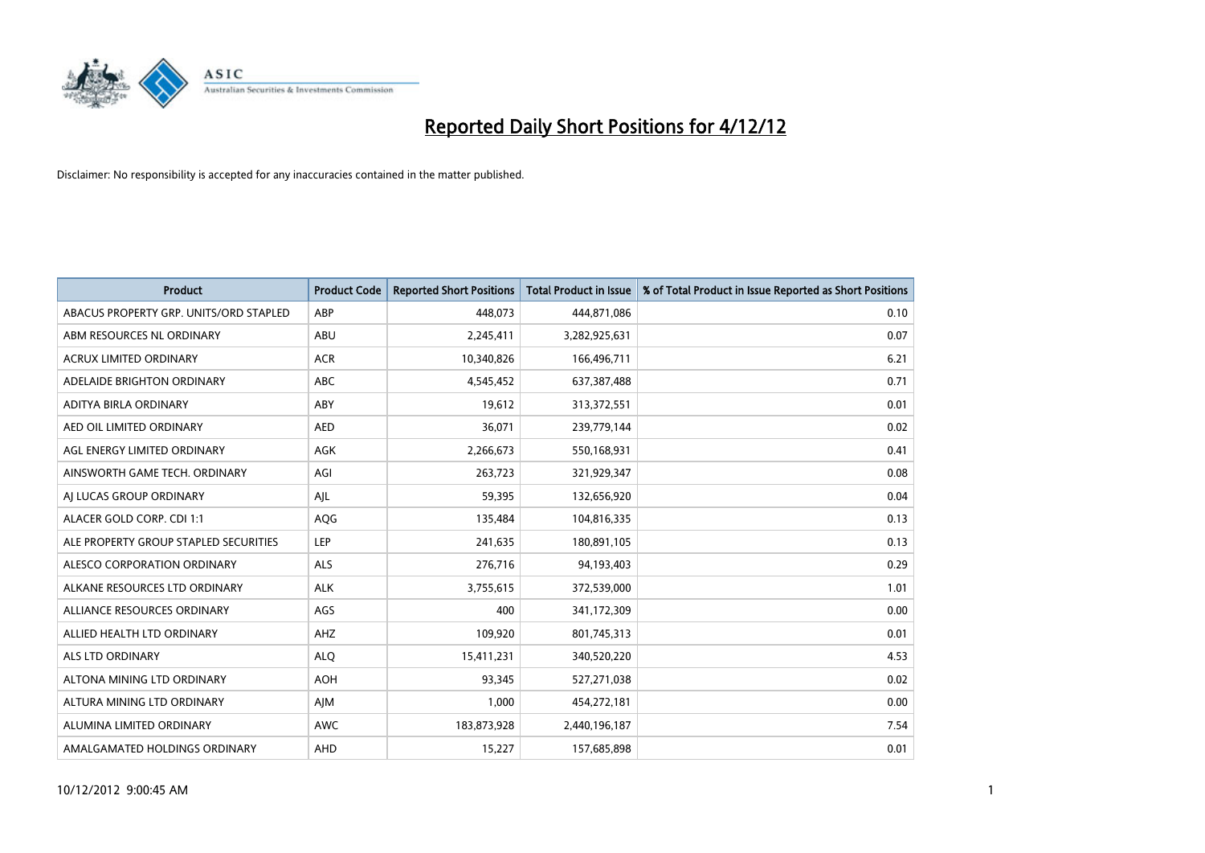

| <b>Product</b>                         | <b>Product Code</b> | <b>Reported Short Positions</b> | <b>Total Product in Issue</b> | % of Total Product in Issue Reported as Short Positions |
|----------------------------------------|---------------------|---------------------------------|-------------------------------|---------------------------------------------------------|
| ABACUS PROPERTY GRP. UNITS/ORD STAPLED | ABP                 | 448,073                         | 444,871,086                   | 0.10                                                    |
| ABM RESOURCES NL ORDINARY              | <b>ABU</b>          | 2,245,411                       | 3,282,925,631                 | 0.07                                                    |
| <b>ACRUX LIMITED ORDINARY</b>          | <b>ACR</b>          | 10,340,826                      | 166,496,711                   | 6.21                                                    |
| ADELAIDE BRIGHTON ORDINARY             | <b>ABC</b>          | 4,545,452                       | 637,387,488                   | 0.71                                                    |
| ADITYA BIRLA ORDINARY                  | ABY                 | 19.612                          | 313,372,551                   | 0.01                                                    |
| AED OIL LIMITED ORDINARY               | <b>AED</b>          | 36,071                          | 239,779,144                   | 0.02                                                    |
| AGL ENERGY LIMITED ORDINARY            | <b>AGK</b>          | 2,266,673                       | 550,168,931                   | 0.41                                                    |
| AINSWORTH GAME TECH. ORDINARY          | AGI                 | 263,723                         | 321,929,347                   | 0.08                                                    |
| AI LUCAS GROUP ORDINARY                | AJL                 | 59,395                          | 132,656,920                   | 0.04                                                    |
| ALACER GOLD CORP. CDI 1:1              | <b>AQG</b>          | 135,484                         | 104,816,335                   | 0.13                                                    |
| ALE PROPERTY GROUP STAPLED SECURITIES  | LEP                 | 241,635                         | 180,891,105                   | 0.13                                                    |
| ALESCO CORPORATION ORDINARY            | <b>ALS</b>          | 276,716                         | 94,193,403                    | 0.29                                                    |
| ALKANE RESOURCES LTD ORDINARY          | <b>ALK</b>          | 3,755,615                       | 372,539,000                   | 1.01                                                    |
| ALLIANCE RESOURCES ORDINARY            | AGS                 | 400                             | 341,172,309                   | 0.00                                                    |
| ALLIED HEALTH LTD ORDINARY             | AHZ                 | 109,920                         | 801,745,313                   | 0.01                                                    |
| <b>ALS LTD ORDINARY</b>                | <b>ALO</b>          | 15,411,231                      | 340,520,220                   | 4.53                                                    |
| ALTONA MINING LTD ORDINARY             | <b>AOH</b>          | 93,345                          | 527,271,038                   | 0.02                                                    |
| ALTURA MINING LTD ORDINARY             | AJM                 | 1,000                           | 454,272,181                   | 0.00                                                    |
| ALUMINA LIMITED ORDINARY               | <b>AWC</b>          | 183,873,928                     | 2,440,196,187                 | 7.54                                                    |
| AMALGAMATED HOLDINGS ORDINARY          | <b>AHD</b>          | 15,227                          | 157,685,898                   | 0.01                                                    |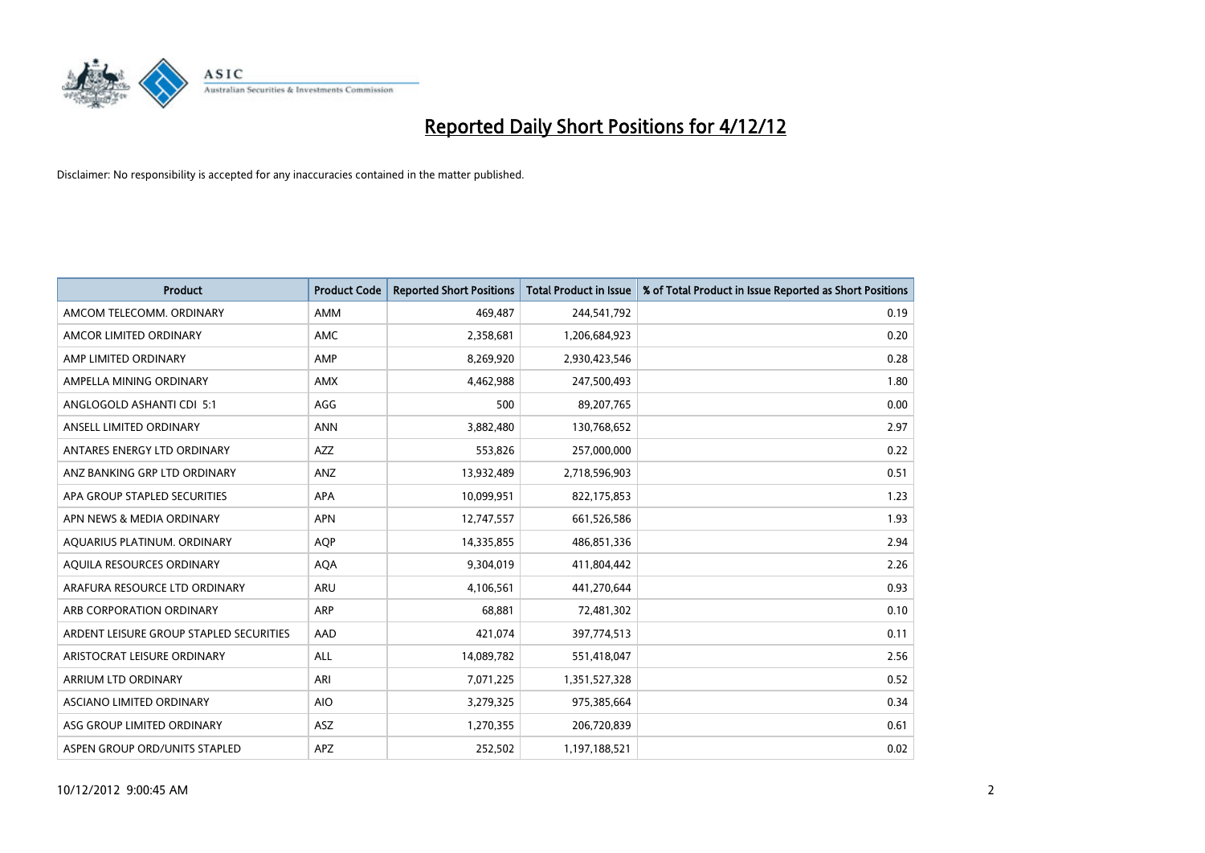

| <b>Product</b>                          | <b>Product Code</b> | <b>Reported Short Positions</b> | <b>Total Product in Issue</b> | % of Total Product in Issue Reported as Short Positions |
|-----------------------------------------|---------------------|---------------------------------|-------------------------------|---------------------------------------------------------|
| AMCOM TELECOMM, ORDINARY                | <b>AMM</b>          | 469.487                         | 244,541,792                   | 0.19                                                    |
| AMCOR LIMITED ORDINARY                  | <b>AMC</b>          | 2,358,681                       | 1,206,684,923                 | 0.20                                                    |
| AMP LIMITED ORDINARY                    | AMP                 | 8,269,920                       | 2,930,423,546                 | 0.28                                                    |
| AMPELLA MINING ORDINARY                 | <b>AMX</b>          | 4,462,988                       | 247,500,493                   | 1.80                                                    |
| ANGLOGOLD ASHANTI CDI 5:1               | AGG                 | 500                             | 89,207,765                    | 0.00                                                    |
| ANSELL LIMITED ORDINARY                 | <b>ANN</b>          | 3,882,480                       | 130,768,652                   | 2.97                                                    |
| ANTARES ENERGY LTD ORDINARY             | <b>AZZ</b>          | 553,826                         | 257,000,000                   | 0.22                                                    |
| ANZ BANKING GRP LTD ORDINARY            | ANZ                 | 13,932,489                      | 2,718,596,903                 | 0.51                                                    |
| APA GROUP STAPLED SECURITIES            | <b>APA</b>          | 10,099,951                      | 822,175,853                   | 1.23                                                    |
| APN NEWS & MEDIA ORDINARY               | <b>APN</b>          | 12,747,557                      | 661,526,586                   | 1.93                                                    |
| AQUARIUS PLATINUM. ORDINARY             | AQP                 | 14,335,855                      | 486,851,336                   | 2.94                                                    |
| AQUILA RESOURCES ORDINARY               | <b>AQA</b>          | 9,304,019                       | 411,804,442                   | 2.26                                                    |
| ARAFURA RESOURCE LTD ORDINARY           | <b>ARU</b>          | 4,106,561                       | 441,270,644                   | 0.93                                                    |
| ARB CORPORATION ORDINARY                | <b>ARP</b>          | 68,881                          | 72,481,302                    | 0.10                                                    |
| ARDENT LEISURE GROUP STAPLED SECURITIES | AAD                 | 421,074                         | 397,774,513                   | 0.11                                                    |
| ARISTOCRAT LEISURE ORDINARY             | ALL                 | 14,089,782                      | 551,418,047                   | 2.56                                                    |
| ARRIUM LTD ORDINARY                     | ARI                 | 7,071,225                       | 1,351,527,328                 | 0.52                                                    |
| ASCIANO LIMITED ORDINARY                | <b>AIO</b>          | 3,279,325                       | 975,385,664                   | 0.34                                                    |
| ASG GROUP LIMITED ORDINARY              | <b>ASZ</b>          | 1,270,355                       | 206,720,839                   | 0.61                                                    |
| ASPEN GROUP ORD/UNITS STAPLED           | APZ                 | 252,502                         | 1,197,188,521                 | 0.02                                                    |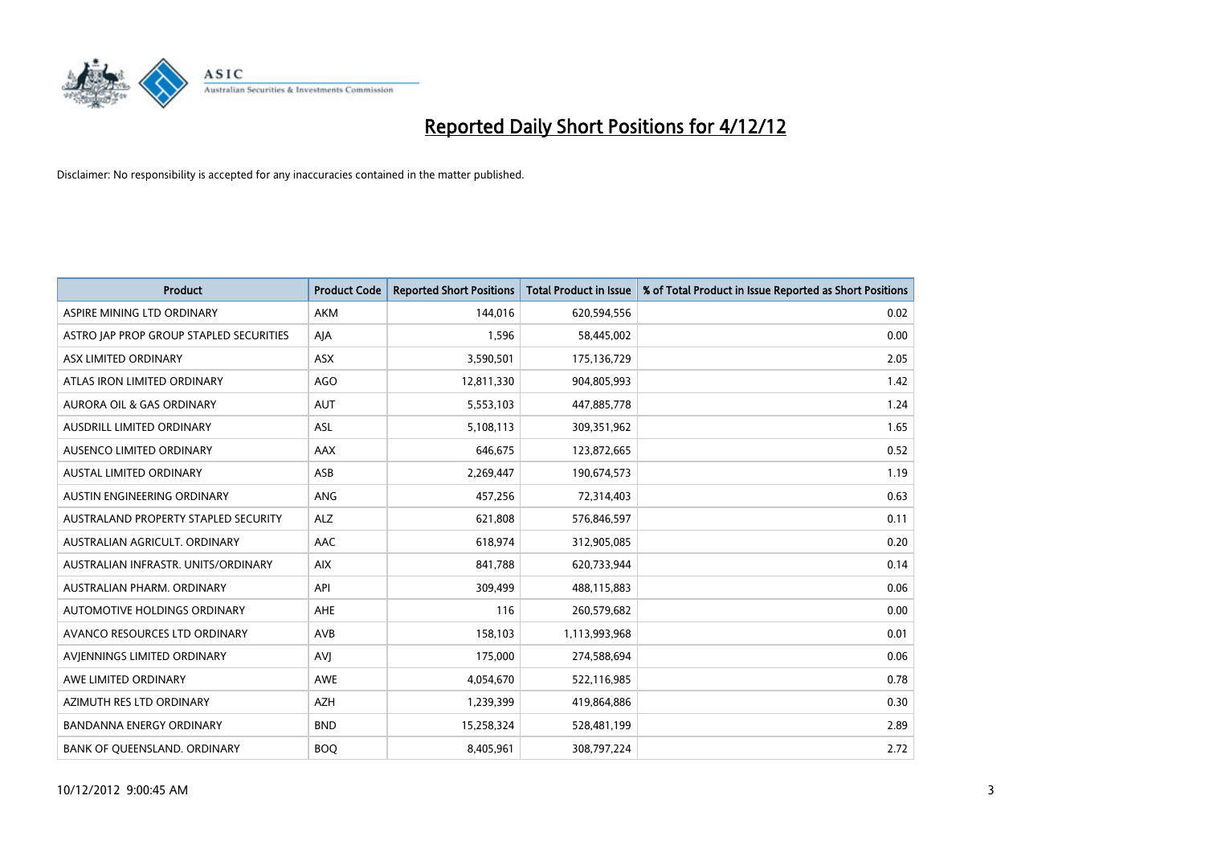

| <b>Product</b>                          | <b>Product Code</b> | <b>Reported Short Positions</b> | <b>Total Product in Issue</b> | % of Total Product in Issue Reported as Short Positions |
|-----------------------------------------|---------------------|---------------------------------|-------------------------------|---------------------------------------------------------|
| ASPIRE MINING LTD ORDINARY              | <b>AKM</b>          | 144,016                         | 620,594,556                   | 0.02                                                    |
| ASTRO JAP PROP GROUP STAPLED SECURITIES | AJA                 | 1,596                           | 58,445,002                    | 0.00                                                    |
| ASX LIMITED ORDINARY                    | <b>ASX</b>          | 3,590,501                       | 175,136,729                   | 2.05                                                    |
| ATLAS IRON LIMITED ORDINARY             | AGO                 | 12,811,330                      | 904,805,993                   | 1.42                                                    |
| <b>AURORA OIL &amp; GAS ORDINARY</b>    | <b>AUT</b>          | 5,553,103                       | 447,885,778                   | 1.24                                                    |
| <b>AUSDRILL LIMITED ORDINARY</b>        | <b>ASL</b>          | 5,108,113                       | 309,351,962                   | 1.65                                                    |
| AUSENCO LIMITED ORDINARY                | AAX                 | 646,675                         | 123,872,665                   | 0.52                                                    |
| AUSTAL LIMITED ORDINARY                 | ASB                 | 2,269,447                       | 190,674,573                   | 1.19                                                    |
| AUSTIN ENGINEERING ORDINARY             | <b>ANG</b>          | 457,256                         | 72,314,403                    | 0.63                                                    |
| AUSTRALAND PROPERTY STAPLED SECURITY    | <b>ALZ</b>          | 621,808                         | 576,846,597                   | 0.11                                                    |
| AUSTRALIAN AGRICULT. ORDINARY           | AAC                 | 618,974                         | 312,905,085                   | 0.20                                                    |
| AUSTRALIAN INFRASTR. UNITS/ORDINARY     | <b>AIX</b>          | 841,788                         | 620,733,944                   | 0.14                                                    |
| <b>AUSTRALIAN PHARM, ORDINARY</b>       | API                 | 309,499                         | 488,115,883                   | 0.06                                                    |
| AUTOMOTIVE HOLDINGS ORDINARY            | <b>AHE</b>          | 116                             | 260,579,682                   | 0.00                                                    |
| AVANCO RESOURCES LTD ORDINARY           | AVB                 | 158,103                         | 1,113,993,968                 | 0.01                                                    |
| AVIENNINGS LIMITED ORDINARY             | AVI                 | 175,000                         | 274,588,694                   | 0.06                                                    |
| AWE LIMITED ORDINARY                    | <b>AWE</b>          | 4,054,670                       | 522,116,985                   | 0.78                                                    |
| AZIMUTH RES LTD ORDINARY                | <b>AZH</b>          | 1,239,399                       | 419,864,886                   | 0.30                                                    |
| <b>BANDANNA ENERGY ORDINARY</b>         | <b>BND</b>          | 15,258,324                      | 528,481,199                   | 2.89                                                    |
| BANK OF QUEENSLAND. ORDINARY            | <b>BOQ</b>          | 8,405,961                       | 308,797,224                   | 2.72                                                    |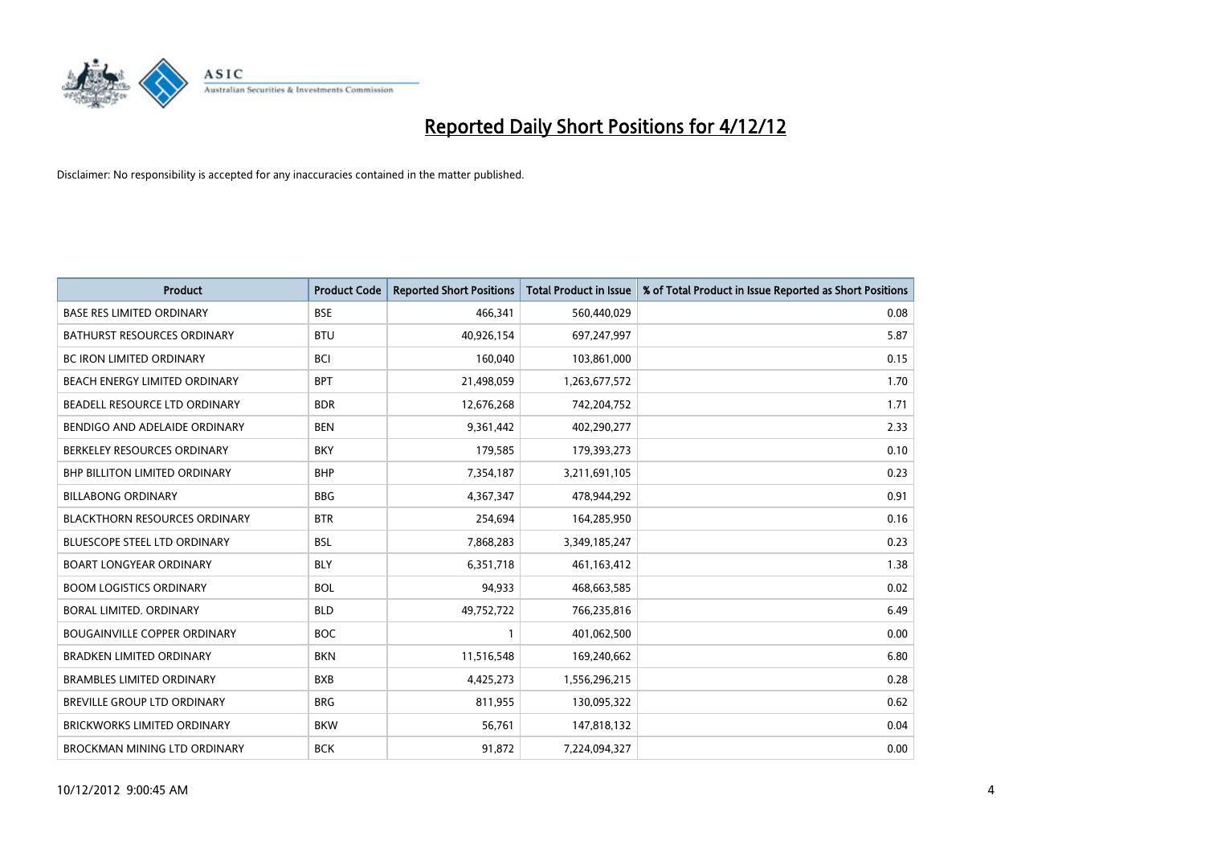

| <b>Product</b>                       | <b>Product Code</b> | <b>Reported Short Positions</b> | <b>Total Product in Issue</b> | % of Total Product in Issue Reported as Short Positions |
|--------------------------------------|---------------------|---------------------------------|-------------------------------|---------------------------------------------------------|
| <b>BASE RES LIMITED ORDINARY</b>     | <b>BSE</b>          | 466,341                         | 560,440,029                   | 0.08                                                    |
| <b>BATHURST RESOURCES ORDINARY</b>   | <b>BTU</b>          | 40,926,154                      | 697,247,997                   | 5.87                                                    |
| <b>BC IRON LIMITED ORDINARY</b>      | <b>BCI</b>          | 160,040                         | 103,861,000                   | 0.15                                                    |
| BEACH ENERGY LIMITED ORDINARY        | <b>BPT</b>          | 21,498,059                      | 1,263,677,572                 | 1.70                                                    |
| BEADELL RESOURCE LTD ORDINARY        | <b>BDR</b>          | 12,676,268                      | 742,204,752                   | 1.71                                                    |
| BENDIGO AND ADELAIDE ORDINARY        | <b>BEN</b>          | 9,361,442                       | 402,290,277                   | 2.33                                                    |
| BERKELEY RESOURCES ORDINARY          | <b>BKY</b>          | 179,585                         | 179,393,273                   | 0.10                                                    |
| <b>BHP BILLITON LIMITED ORDINARY</b> | <b>BHP</b>          | 7,354,187                       | 3,211,691,105                 | 0.23                                                    |
| <b>BILLABONG ORDINARY</b>            | <b>BBG</b>          | 4,367,347                       | 478,944,292                   | 0.91                                                    |
| <b>BLACKTHORN RESOURCES ORDINARY</b> | <b>BTR</b>          | 254,694                         | 164,285,950                   | 0.16                                                    |
| <b>BLUESCOPE STEEL LTD ORDINARY</b>  | <b>BSL</b>          | 7,868,283                       | 3,349,185,247                 | 0.23                                                    |
| <b>BOART LONGYEAR ORDINARY</b>       | <b>BLY</b>          | 6,351,718                       | 461,163,412                   | 1.38                                                    |
| <b>BOOM LOGISTICS ORDINARY</b>       | <b>BOL</b>          | 94,933                          | 468,663,585                   | 0.02                                                    |
| BORAL LIMITED, ORDINARY              | <b>BLD</b>          | 49,752,722                      | 766,235,816                   | 6.49                                                    |
| <b>BOUGAINVILLE COPPER ORDINARY</b>  | <b>BOC</b>          |                                 | 401,062,500                   | 0.00                                                    |
| <b>BRADKEN LIMITED ORDINARY</b>      | <b>BKN</b>          | 11,516,548                      | 169,240,662                   | 6.80                                                    |
| <b>BRAMBLES LIMITED ORDINARY</b>     | <b>BXB</b>          | 4,425,273                       | 1,556,296,215                 | 0.28                                                    |
| BREVILLE GROUP LTD ORDINARY          | <b>BRG</b>          | 811,955                         | 130,095,322                   | 0.62                                                    |
| <b>BRICKWORKS LIMITED ORDINARY</b>   | <b>BKW</b>          | 56,761                          | 147,818,132                   | 0.04                                                    |
| BROCKMAN MINING LTD ORDINARY         | <b>BCK</b>          | 91,872                          | 7,224,094,327                 | 0.00                                                    |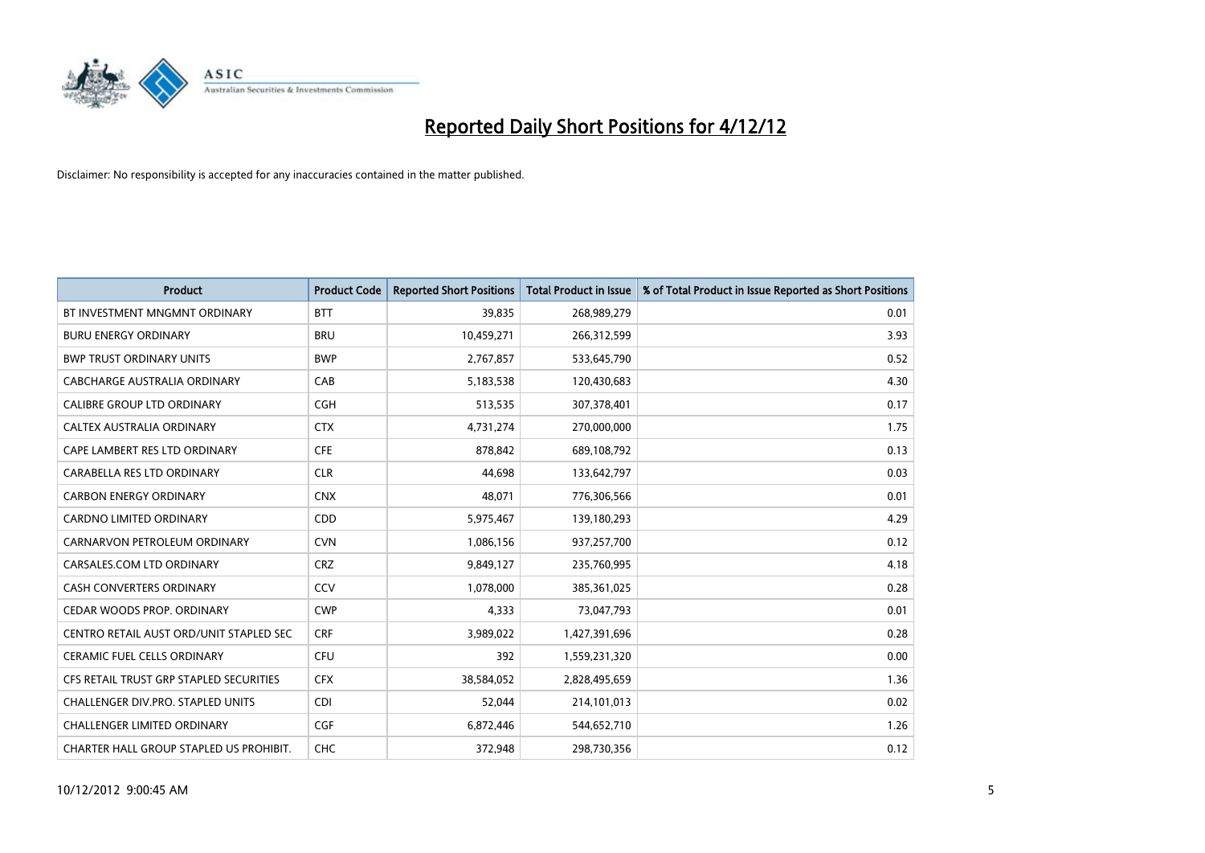

| <b>Product</b>                           | <b>Product Code</b> | <b>Reported Short Positions</b> | <b>Total Product in Issue</b> | % of Total Product in Issue Reported as Short Positions |
|------------------------------------------|---------------------|---------------------------------|-------------------------------|---------------------------------------------------------|
| BT INVESTMENT MNGMNT ORDINARY            | <b>BTT</b>          | 39,835                          | 268,989,279                   | 0.01                                                    |
| <b>BURU ENERGY ORDINARY</b>              | <b>BRU</b>          | 10,459,271                      | 266,312,599                   | 3.93                                                    |
| <b>BWP TRUST ORDINARY UNITS</b>          | <b>BWP</b>          | 2,767,857                       | 533,645,790                   | 0.52                                                    |
| CABCHARGE AUSTRALIA ORDINARY             | CAB                 | 5,183,538                       | 120,430,683                   | 4.30                                                    |
| <b>CALIBRE GROUP LTD ORDINARY</b>        | <b>CGH</b>          | 513,535                         | 307,378,401                   | 0.17                                                    |
| CALTEX AUSTRALIA ORDINARY                | <b>CTX</b>          | 4,731,274                       | 270,000,000                   | 1.75                                                    |
| CAPE LAMBERT RES LTD ORDINARY            | <b>CFE</b>          | 878.842                         | 689,108,792                   | 0.13                                                    |
| CARABELLA RES LTD ORDINARY               | <b>CLR</b>          | 44,698                          | 133,642,797                   | 0.03                                                    |
| <b>CARBON ENERGY ORDINARY</b>            | <b>CNX</b>          | 48,071                          | 776,306,566                   | 0.01                                                    |
| <b>CARDNO LIMITED ORDINARY</b>           | <b>CDD</b>          | 5,975,467                       | 139,180,293                   | 4.29                                                    |
| CARNARVON PETROLEUM ORDINARY             | <b>CVN</b>          | 1,086,156                       | 937,257,700                   | 0.12                                                    |
| CARSALES.COM LTD ORDINARY                | <b>CRZ</b>          | 9,849,127                       | 235,760,995                   | 4.18                                                    |
| CASH CONVERTERS ORDINARY                 | CCV                 | 1,078,000                       | 385,361,025                   | 0.28                                                    |
| CEDAR WOODS PROP. ORDINARY               | <b>CWP</b>          | 4,333                           | 73,047,793                    | 0.01                                                    |
| CENTRO RETAIL AUST ORD/UNIT STAPLED SEC  | <b>CRF</b>          | 3,989,022                       | 1,427,391,696                 | 0.28                                                    |
| CERAMIC FUEL CELLS ORDINARY              | <b>CFU</b>          | 392                             | 1,559,231,320                 | 0.00                                                    |
| CFS RETAIL TRUST GRP STAPLED SECURITIES  | <b>CFX</b>          | 38,584,052                      | 2,828,495,659                 | 1.36                                                    |
| <b>CHALLENGER DIV.PRO. STAPLED UNITS</b> | <b>CDI</b>          | 52,044                          | 214,101,013                   | 0.02                                                    |
| <b>CHALLENGER LIMITED ORDINARY</b>       | <b>CGF</b>          | 6,872,446                       | 544,652,710                   | 1.26                                                    |
| CHARTER HALL GROUP STAPLED US PROHIBIT.  | <b>CHC</b>          | 372.948                         | 298,730,356                   | 0.12                                                    |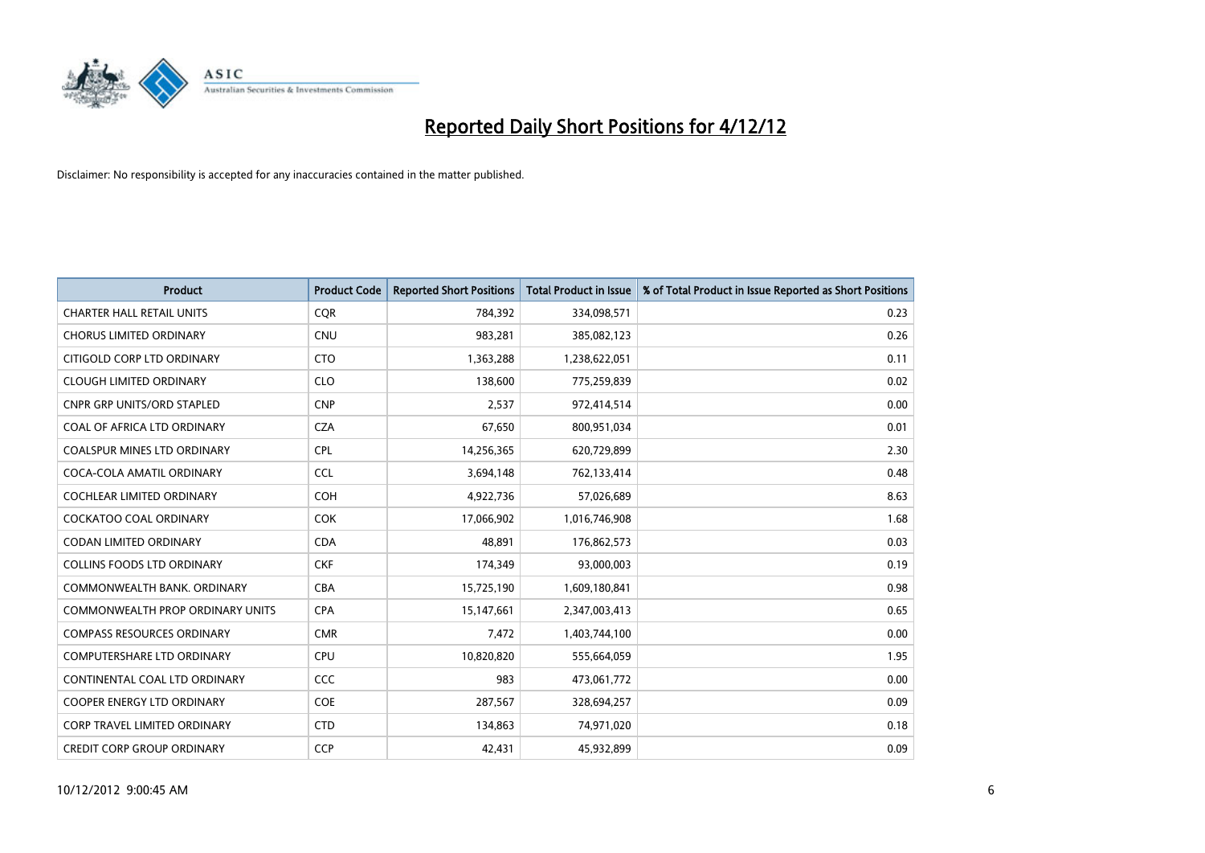

| <b>Product</b>                          | <b>Product Code</b> | <b>Reported Short Positions</b> | <b>Total Product in Issue</b> | % of Total Product in Issue Reported as Short Positions |
|-----------------------------------------|---------------------|---------------------------------|-------------------------------|---------------------------------------------------------|
| <b>CHARTER HALL RETAIL UNITS</b>        | <b>COR</b>          | 784,392                         | 334,098,571                   | 0.23                                                    |
| <b>CHORUS LIMITED ORDINARY</b>          | <b>CNU</b>          | 983,281                         | 385,082,123                   | 0.26                                                    |
| CITIGOLD CORP LTD ORDINARY              | <b>CTO</b>          | 1,363,288                       | 1,238,622,051                 | 0.11                                                    |
| <b>CLOUGH LIMITED ORDINARY</b>          | <b>CLO</b>          | 138,600                         | 775,259,839                   | 0.02                                                    |
| <b>CNPR GRP UNITS/ORD STAPLED</b>       | <b>CNP</b>          | 2,537                           | 972,414,514                   | 0.00                                                    |
| COAL OF AFRICA LTD ORDINARY             | <b>CZA</b>          | 67,650                          | 800,951,034                   | 0.01                                                    |
| COALSPUR MINES LTD ORDINARY             | <b>CPL</b>          | 14,256,365                      | 620,729,899                   | 2.30                                                    |
| COCA-COLA AMATIL ORDINARY               | <b>CCL</b>          | 3,694,148                       | 762,133,414                   | 0.48                                                    |
| <b>COCHLEAR LIMITED ORDINARY</b>        | <b>COH</b>          | 4,922,736                       | 57,026,689                    | 8.63                                                    |
| <b>COCKATOO COAL ORDINARY</b>           | <b>COK</b>          | 17,066,902                      | 1,016,746,908                 | 1.68                                                    |
| <b>CODAN LIMITED ORDINARY</b>           | <b>CDA</b>          | 48,891                          | 176,862,573                   | 0.03                                                    |
| <b>COLLINS FOODS LTD ORDINARY</b>       | <b>CKF</b>          | 174,349                         | 93,000,003                    | 0.19                                                    |
| COMMONWEALTH BANK, ORDINARY             | <b>CBA</b>          | 15,725,190                      | 1,609,180,841                 | 0.98                                                    |
| <b>COMMONWEALTH PROP ORDINARY UNITS</b> | <b>CPA</b>          | 15,147,661                      | 2,347,003,413                 | 0.65                                                    |
| <b>COMPASS RESOURCES ORDINARY</b>       | <b>CMR</b>          | 7,472                           | 1,403,744,100                 | 0.00                                                    |
| <b>COMPUTERSHARE LTD ORDINARY</b>       | <b>CPU</b>          | 10,820,820                      | 555,664,059                   | 1.95                                                    |
| CONTINENTAL COAL LTD ORDINARY           | <b>CCC</b>          | 983                             | 473,061,772                   | 0.00                                                    |
| <b>COOPER ENERGY LTD ORDINARY</b>       | <b>COE</b>          | 287,567                         | 328,694,257                   | 0.09                                                    |
| <b>CORP TRAVEL LIMITED ORDINARY</b>     | <b>CTD</b>          | 134,863                         | 74,971,020                    | 0.18                                                    |
| <b>CREDIT CORP GROUP ORDINARY</b>       | <b>CCP</b>          | 42,431                          | 45,932,899                    | 0.09                                                    |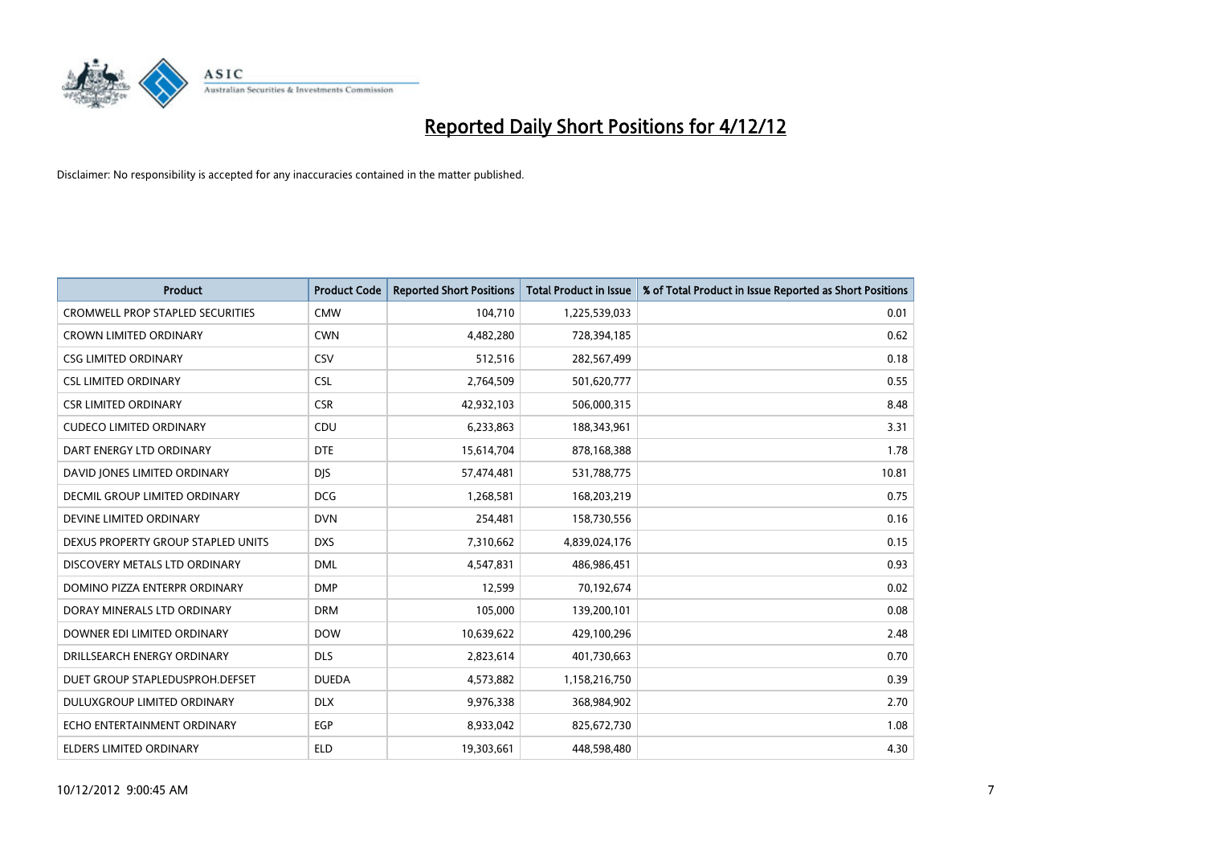

| <b>Product</b>                          | <b>Product Code</b> | <b>Reported Short Positions</b> | <b>Total Product in Issue</b> | % of Total Product in Issue Reported as Short Positions |
|-----------------------------------------|---------------------|---------------------------------|-------------------------------|---------------------------------------------------------|
| <b>CROMWELL PROP STAPLED SECURITIES</b> | <b>CMW</b>          | 104,710                         | 1,225,539,033                 | 0.01                                                    |
| <b>CROWN LIMITED ORDINARY</b>           | <b>CWN</b>          | 4,482,280                       | 728,394,185                   | 0.62                                                    |
| <b>CSG LIMITED ORDINARY</b>             | CSV                 | 512,516                         | 282,567,499                   | 0.18                                                    |
| <b>CSL LIMITED ORDINARY</b>             | <b>CSL</b>          | 2,764,509                       | 501,620,777                   | 0.55                                                    |
| <b>CSR LIMITED ORDINARY</b>             | <b>CSR</b>          | 42,932,103                      | 506,000,315                   | 8.48                                                    |
| <b>CUDECO LIMITED ORDINARY</b>          | CDU                 | 6,233,863                       | 188,343,961                   | 3.31                                                    |
| DART ENERGY LTD ORDINARY                | <b>DTE</b>          | 15,614,704                      | 878,168,388                   | 1.78                                                    |
| DAVID JONES LIMITED ORDINARY            | <b>DIS</b>          | 57,474,481                      | 531,788,775                   | 10.81                                                   |
| <b>DECMIL GROUP LIMITED ORDINARY</b>    | <b>DCG</b>          | 1,268,581                       | 168,203,219                   | 0.75                                                    |
| DEVINE LIMITED ORDINARY                 | <b>DVN</b>          | 254,481                         | 158,730,556                   | 0.16                                                    |
| DEXUS PROPERTY GROUP STAPLED UNITS      | <b>DXS</b>          | 7,310,662                       | 4,839,024,176                 | 0.15                                                    |
| DISCOVERY METALS LTD ORDINARY           | <b>DML</b>          | 4,547,831                       | 486,986,451                   | 0.93                                                    |
| DOMINO PIZZA ENTERPR ORDINARY           | <b>DMP</b>          | 12,599                          | 70,192,674                    | 0.02                                                    |
| DORAY MINERALS LTD ORDINARY             | <b>DRM</b>          | 105,000                         | 139,200,101                   | 0.08                                                    |
| DOWNER EDI LIMITED ORDINARY             | <b>DOW</b>          | 10,639,622                      | 429,100,296                   | 2.48                                                    |
| DRILLSEARCH ENERGY ORDINARY             | <b>DLS</b>          | 2,823,614                       | 401,730,663                   | 0.70                                                    |
| DUET GROUP STAPLEDUSPROH.DEFSET         | <b>DUEDA</b>        | 4,573,882                       | 1,158,216,750                 | 0.39                                                    |
| DULUXGROUP LIMITED ORDINARY             | <b>DLX</b>          | 9,976,338                       | 368,984,902                   | 2.70                                                    |
| ECHO ENTERTAINMENT ORDINARY             | <b>EGP</b>          | 8,933,042                       | 825,672,730                   | 1.08                                                    |
| ELDERS LIMITED ORDINARY                 | <b>ELD</b>          | 19,303,661                      | 448,598,480                   | 4.30                                                    |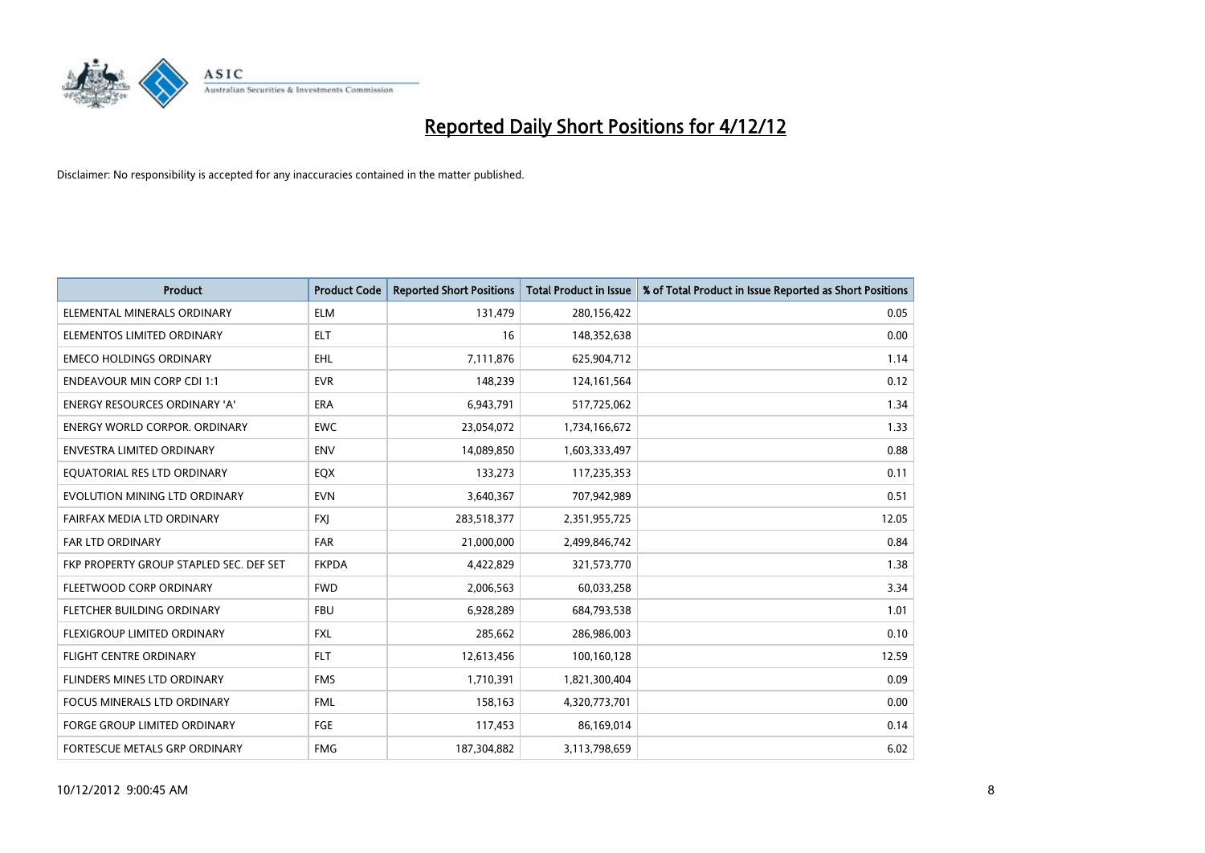

| <b>Product</b>                          | <b>Product Code</b> | <b>Reported Short Positions</b> | <b>Total Product in Issue</b> | % of Total Product in Issue Reported as Short Positions |
|-----------------------------------------|---------------------|---------------------------------|-------------------------------|---------------------------------------------------------|
| ELEMENTAL MINERALS ORDINARY             | <b>ELM</b>          | 131,479                         | 280,156,422                   | 0.05                                                    |
| ELEMENTOS LIMITED ORDINARY              | <b>ELT</b>          | 16                              | 148,352,638                   | 0.00                                                    |
| <b>EMECO HOLDINGS ORDINARY</b>          | <b>EHL</b>          | 7,111,876                       | 625,904,712                   | 1.14                                                    |
| <b>ENDEAVOUR MIN CORP CDI 1:1</b>       | <b>EVR</b>          | 148,239                         | 124, 161, 564                 | 0.12                                                    |
| <b>ENERGY RESOURCES ORDINARY 'A'</b>    | <b>ERA</b>          | 6,943,791                       | 517,725,062                   | 1.34                                                    |
| ENERGY WORLD CORPOR, ORDINARY           | <b>EWC</b>          | 23,054,072                      | 1,734,166,672                 | 1.33                                                    |
| <b>ENVESTRA LIMITED ORDINARY</b>        | <b>ENV</b>          | 14,089,850                      | 1,603,333,497                 | 0.88                                                    |
| EQUATORIAL RES LTD ORDINARY             | EQX                 | 133,273                         | 117,235,353                   | 0.11                                                    |
| EVOLUTION MINING LTD ORDINARY           | <b>EVN</b>          | 3,640,367                       | 707,942,989                   | 0.51                                                    |
| FAIRFAX MEDIA LTD ORDINARY              | <b>FXI</b>          | 283,518,377                     | 2,351,955,725                 | 12.05                                                   |
| FAR LTD ORDINARY                        | <b>FAR</b>          | 21,000,000                      | 2,499,846,742                 | 0.84                                                    |
| FKP PROPERTY GROUP STAPLED SEC. DEF SET | <b>FKPDA</b>        | 4,422,829                       | 321,573,770                   | 1.38                                                    |
| FLEETWOOD CORP ORDINARY                 | <b>FWD</b>          | 2,006,563                       | 60,033,258                    | 3.34                                                    |
| FLETCHER BUILDING ORDINARY              | <b>FBU</b>          | 6,928,289                       | 684,793,538                   | 1.01                                                    |
| FLEXIGROUP LIMITED ORDINARY             | <b>FXL</b>          | 285,662                         | 286,986,003                   | 0.10                                                    |
| FLIGHT CENTRE ORDINARY                  | <b>FLT</b>          | 12,613,456                      | 100,160,128                   | 12.59                                                   |
| <b>FLINDERS MINES LTD ORDINARY</b>      | <b>FMS</b>          | 1,710,391                       | 1,821,300,404                 | 0.09                                                    |
| FOCUS MINERALS LTD ORDINARY             | <b>FML</b>          | 158,163                         | 4,320,773,701                 | 0.00                                                    |
| <b>FORGE GROUP LIMITED ORDINARY</b>     | FGE                 | 117,453                         | 86,169,014                    | 0.14                                                    |
| FORTESCUE METALS GRP ORDINARY           | <b>FMG</b>          | 187,304,882                     | 3,113,798,659                 | 6.02                                                    |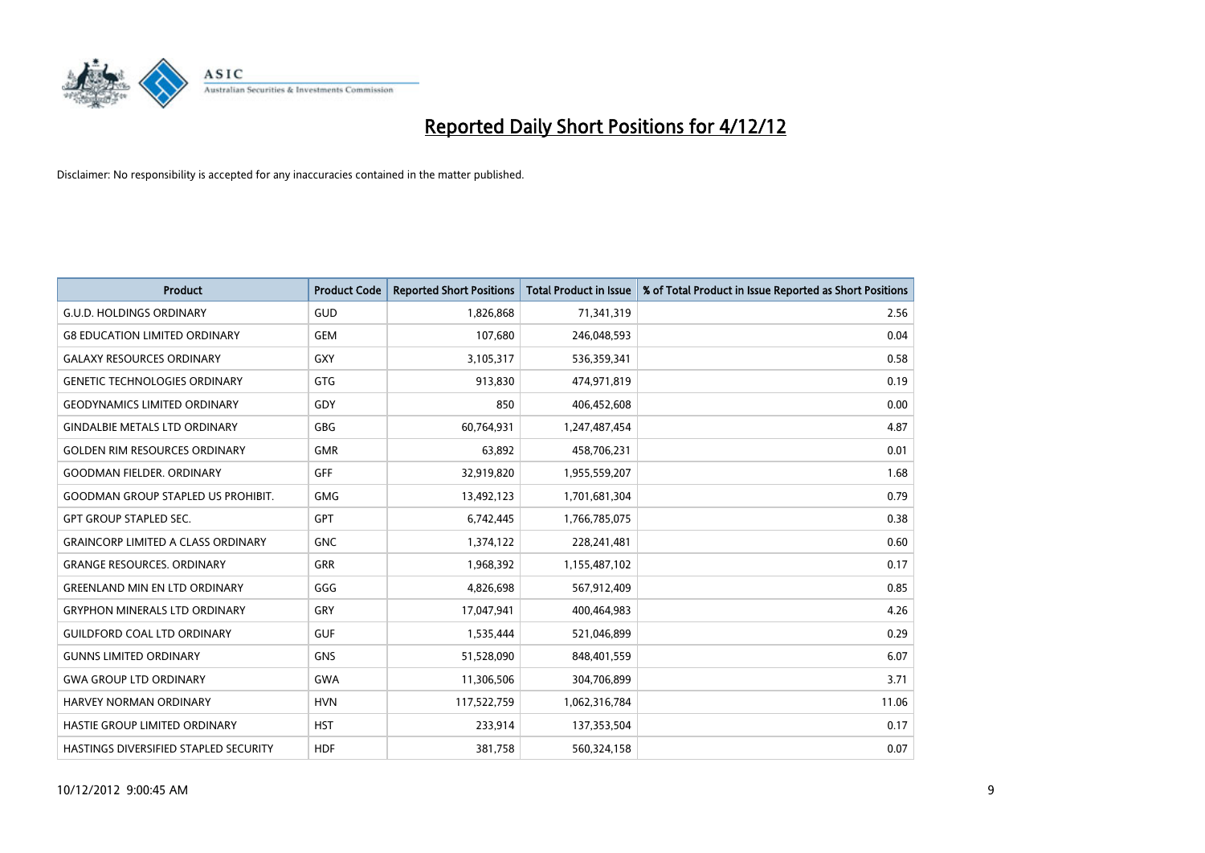

| <b>Product</b>                            | <b>Product Code</b> | <b>Reported Short Positions</b> | <b>Total Product in Issue</b> | % of Total Product in Issue Reported as Short Positions |
|-------------------------------------------|---------------------|---------------------------------|-------------------------------|---------------------------------------------------------|
| <b>G.U.D. HOLDINGS ORDINARY</b>           | GUD                 | 1,826,868                       | 71,341,319                    | 2.56                                                    |
| <b>G8 EDUCATION LIMITED ORDINARY</b>      | <b>GEM</b>          | 107,680                         | 246,048,593                   | 0.04                                                    |
| <b>GALAXY RESOURCES ORDINARY</b>          | GXY                 | 3,105,317                       | 536,359,341                   | 0.58                                                    |
| <b>GENETIC TECHNOLOGIES ORDINARY</b>      | <b>GTG</b>          | 913,830                         | 474,971,819                   | 0.19                                                    |
| <b>GEODYNAMICS LIMITED ORDINARY</b>       | GDY                 | 850                             | 406,452,608                   | 0.00                                                    |
| <b>GINDALBIE METALS LTD ORDINARY</b>      | <b>GBG</b>          | 60,764,931                      | 1,247,487,454                 | 4.87                                                    |
| <b>GOLDEN RIM RESOURCES ORDINARY</b>      | <b>GMR</b>          | 63,892                          | 458,706,231                   | 0.01                                                    |
| <b>GOODMAN FIELDER. ORDINARY</b>          | <b>GFF</b>          | 32,919,820                      | 1,955,559,207                 | 1.68                                                    |
| <b>GOODMAN GROUP STAPLED US PROHIBIT.</b> | <b>GMG</b>          | 13,492,123                      | 1,701,681,304                 | 0.79                                                    |
| <b>GPT GROUP STAPLED SEC.</b>             | <b>GPT</b>          | 6,742,445                       | 1,766,785,075                 | 0.38                                                    |
| <b>GRAINCORP LIMITED A CLASS ORDINARY</b> | <b>GNC</b>          | 1,374,122                       | 228,241,481                   | 0.60                                                    |
| <b>GRANGE RESOURCES, ORDINARY</b>         | <b>GRR</b>          | 1,968,392                       | 1,155,487,102                 | 0.17                                                    |
| <b>GREENLAND MIN EN LTD ORDINARY</b>      | GGG                 | 4,826,698                       | 567,912,409                   | 0.85                                                    |
| <b>GRYPHON MINERALS LTD ORDINARY</b>      | GRY                 | 17,047,941                      | 400,464,983                   | 4.26                                                    |
| <b>GUILDFORD COAL LTD ORDINARY</b>        | <b>GUF</b>          | 1,535,444                       | 521,046,899                   | 0.29                                                    |
| <b>GUNNS LIMITED ORDINARY</b>             | <b>GNS</b>          | 51,528,090                      | 848,401,559                   | 6.07                                                    |
| <b>GWA GROUP LTD ORDINARY</b>             | <b>GWA</b>          | 11,306,506                      | 304,706,899                   | 3.71                                                    |
| <b>HARVEY NORMAN ORDINARY</b>             | <b>HVN</b>          | 117,522,759                     | 1,062,316,784                 | 11.06                                                   |
| HASTIE GROUP LIMITED ORDINARY             | <b>HST</b>          | 233,914                         | 137,353,504                   | 0.17                                                    |
| HASTINGS DIVERSIFIED STAPLED SECURITY     | <b>HDF</b>          | 381,758                         | 560,324,158                   | 0.07                                                    |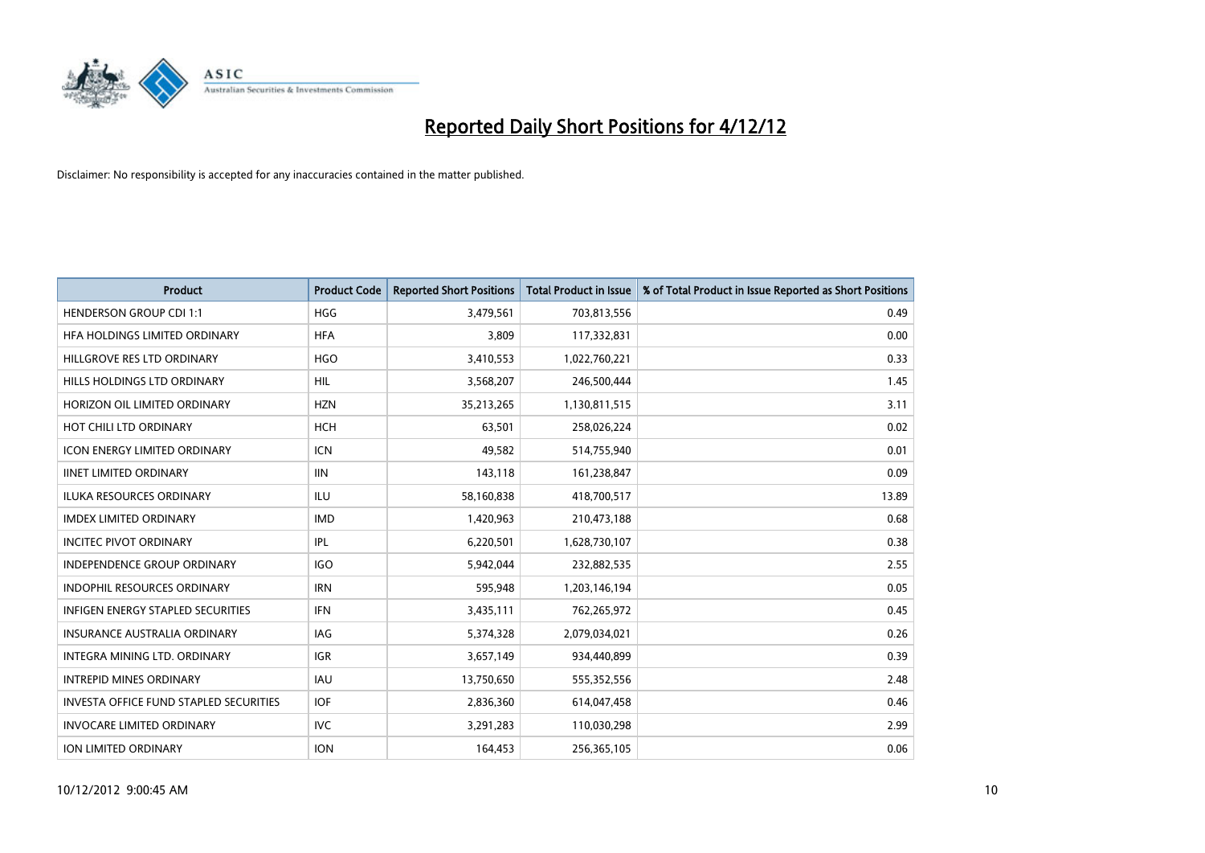

| <b>Product</b>                                | <b>Product Code</b> | <b>Reported Short Positions</b> | <b>Total Product in Issue</b> | % of Total Product in Issue Reported as Short Positions |
|-----------------------------------------------|---------------------|---------------------------------|-------------------------------|---------------------------------------------------------|
| <b>HENDERSON GROUP CDI 1:1</b>                | <b>HGG</b>          | 3,479,561                       | 703,813,556                   | 0.49                                                    |
| HFA HOLDINGS LIMITED ORDINARY                 | <b>HFA</b>          | 3,809                           | 117,332,831                   | 0.00                                                    |
| HILLGROVE RES LTD ORDINARY                    | <b>HGO</b>          | 3,410,553                       | 1,022,760,221                 | 0.33                                                    |
| HILLS HOLDINGS LTD ORDINARY                   | <b>HIL</b>          | 3,568,207                       | 246,500,444                   | 1.45                                                    |
| HORIZON OIL LIMITED ORDINARY                  | <b>HZN</b>          | 35,213,265                      | 1,130,811,515                 | 3.11                                                    |
| HOT CHILI LTD ORDINARY                        | <b>HCH</b>          | 63,501                          | 258,026,224                   | 0.02                                                    |
| <b>ICON ENERGY LIMITED ORDINARY</b>           | <b>ICN</b>          | 49,582                          | 514,755,940                   | 0.01                                                    |
| <b>IINET LIMITED ORDINARY</b>                 | <b>IIN</b>          | 143,118                         | 161,238,847                   | 0.09                                                    |
| <b>ILUKA RESOURCES ORDINARY</b>               | ILU                 | 58,160,838                      | 418,700,517                   | 13.89                                                   |
| <b>IMDEX LIMITED ORDINARY</b>                 | <b>IMD</b>          | 1,420,963                       | 210,473,188                   | 0.68                                                    |
| <b>INCITEC PIVOT ORDINARY</b>                 | IPL                 | 6,220,501                       | 1,628,730,107                 | 0.38                                                    |
| <b>INDEPENDENCE GROUP ORDINARY</b>            | <b>IGO</b>          | 5,942,044                       | 232,882,535                   | 2.55                                                    |
| INDOPHIL RESOURCES ORDINARY                   | <b>IRN</b>          | 595,948                         | 1,203,146,194                 | 0.05                                                    |
| INFIGEN ENERGY STAPLED SECURITIES             | <b>IFN</b>          | 3,435,111                       | 762,265,972                   | 0.45                                                    |
| <b>INSURANCE AUSTRALIA ORDINARY</b>           | IAG                 | 5,374,328                       | 2,079,034,021                 | 0.26                                                    |
| INTEGRA MINING LTD. ORDINARY                  | <b>IGR</b>          | 3,657,149                       | 934,440,899                   | 0.39                                                    |
| <b>INTREPID MINES ORDINARY</b>                | <b>IAU</b>          | 13,750,650                      | 555,352,556                   | 2.48                                                    |
| <b>INVESTA OFFICE FUND STAPLED SECURITIES</b> | <b>IOF</b>          | 2,836,360                       | 614,047,458                   | 0.46                                                    |
| <b>INVOCARE LIMITED ORDINARY</b>              | IVC                 | 3,291,283                       | 110,030,298                   | 2.99                                                    |
| <b>ION LIMITED ORDINARY</b>                   | <b>ION</b>          | 164,453                         | 256,365,105                   | 0.06                                                    |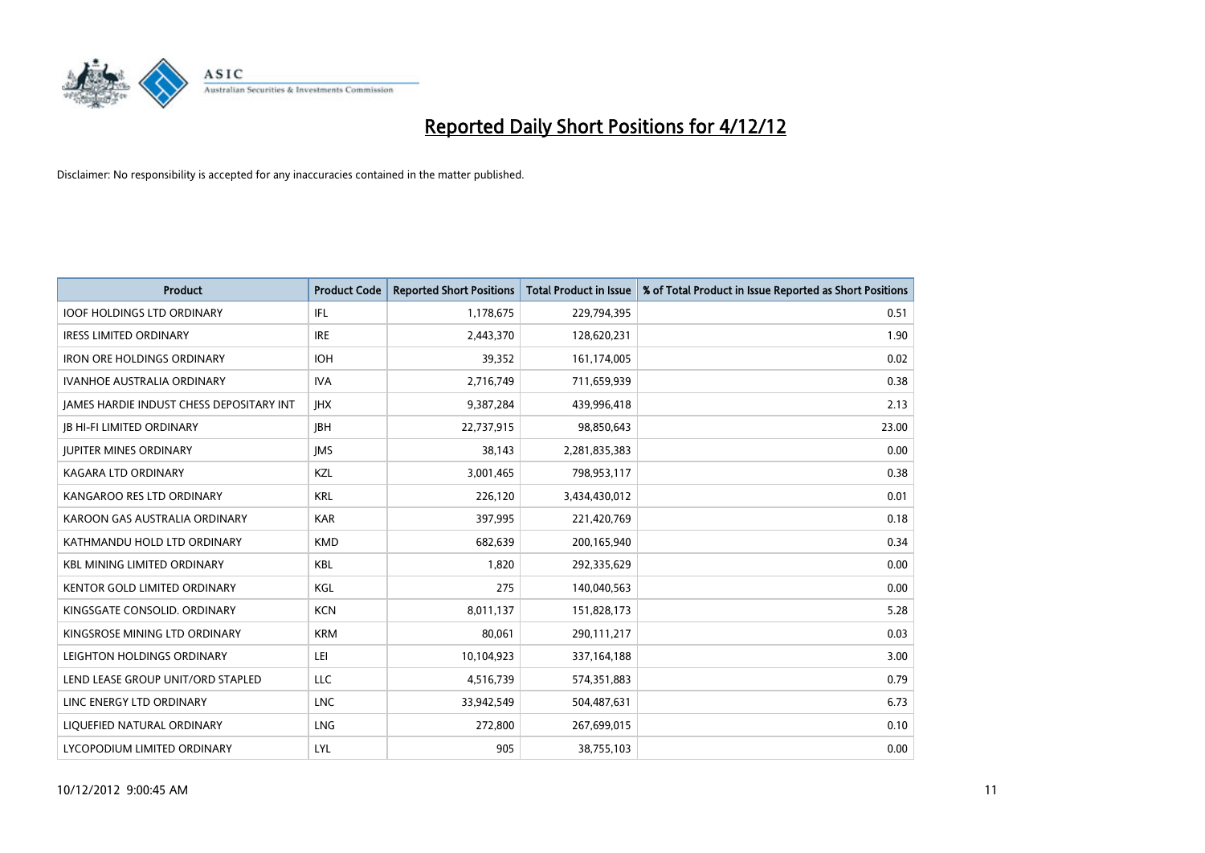

| <b>Product</b>                                  | <b>Product Code</b> | <b>Reported Short Positions</b> | <b>Total Product in Issue</b> | % of Total Product in Issue Reported as Short Positions |
|-------------------------------------------------|---------------------|---------------------------------|-------------------------------|---------------------------------------------------------|
| <b>IOOF HOLDINGS LTD ORDINARY</b>               | IFL                 | 1,178,675                       | 229,794,395                   | 0.51                                                    |
| <b>IRESS LIMITED ORDINARY</b>                   | <b>IRE</b>          | 2,443,370                       | 128,620,231                   | 1.90                                                    |
| <b>IRON ORE HOLDINGS ORDINARY</b>               | <b>IOH</b>          | 39,352                          | 161,174,005                   | 0.02                                                    |
| <b>IVANHOE AUSTRALIA ORDINARY</b>               | <b>IVA</b>          | 2,716,749                       | 711,659,939                   | 0.38                                                    |
| <b>IAMES HARDIE INDUST CHESS DEPOSITARY INT</b> | <b>IHX</b>          | 9,387,284                       | 439,996,418                   | 2.13                                                    |
| <b>JB HI-FI LIMITED ORDINARY</b>                | <b>IBH</b>          | 22,737,915                      | 98,850,643                    | 23.00                                                   |
| <b>JUPITER MINES ORDINARY</b>                   | <b>IMS</b>          | 38,143                          | 2,281,835,383                 | 0.00                                                    |
| KAGARA LTD ORDINARY                             | <b>KZL</b>          | 3,001,465                       | 798,953,117                   | 0.38                                                    |
| KANGAROO RES LTD ORDINARY                       | <b>KRL</b>          | 226,120                         | 3,434,430,012                 | 0.01                                                    |
| KAROON GAS AUSTRALIA ORDINARY                   | <b>KAR</b>          | 397,995                         | 221,420,769                   | 0.18                                                    |
| KATHMANDU HOLD LTD ORDINARY                     | <b>KMD</b>          | 682,639                         | 200,165,940                   | 0.34                                                    |
| <b>KBL MINING LIMITED ORDINARY</b>              | <b>KBL</b>          | 1,820                           | 292,335,629                   | 0.00                                                    |
| KENTOR GOLD LIMITED ORDINARY                    | KGL                 | 275                             | 140,040,563                   | 0.00                                                    |
| KINGSGATE CONSOLID. ORDINARY                    | <b>KCN</b>          | 8,011,137                       | 151,828,173                   | 5.28                                                    |
| KINGSROSE MINING LTD ORDINARY                   | <b>KRM</b>          | 80,061                          | 290,111,217                   | 0.03                                                    |
| LEIGHTON HOLDINGS ORDINARY                      | LEI                 | 10,104,923                      | 337, 164, 188                 | 3.00                                                    |
| LEND LEASE GROUP UNIT/ORD STAPLED               | LLC                 | 4,516,739                       | 574,351,883                   | 0.79                                                    |
| LINC ENERGY LTD ORDINARY                        | <b>LNC</b>          | 33,942,549                      | 504,487,631                   | 6.73                                                    |
| LIOUEFIED NATURAL ORDINARY                      | <b>LNG</b>          | 272,800                         | 267,699,015                   | 0.10                                                    |
| LYCOPODIUM LIMITED ORDINARY                     | LYL                 | 905                             | 38,755,103                    | 0.00                                                    |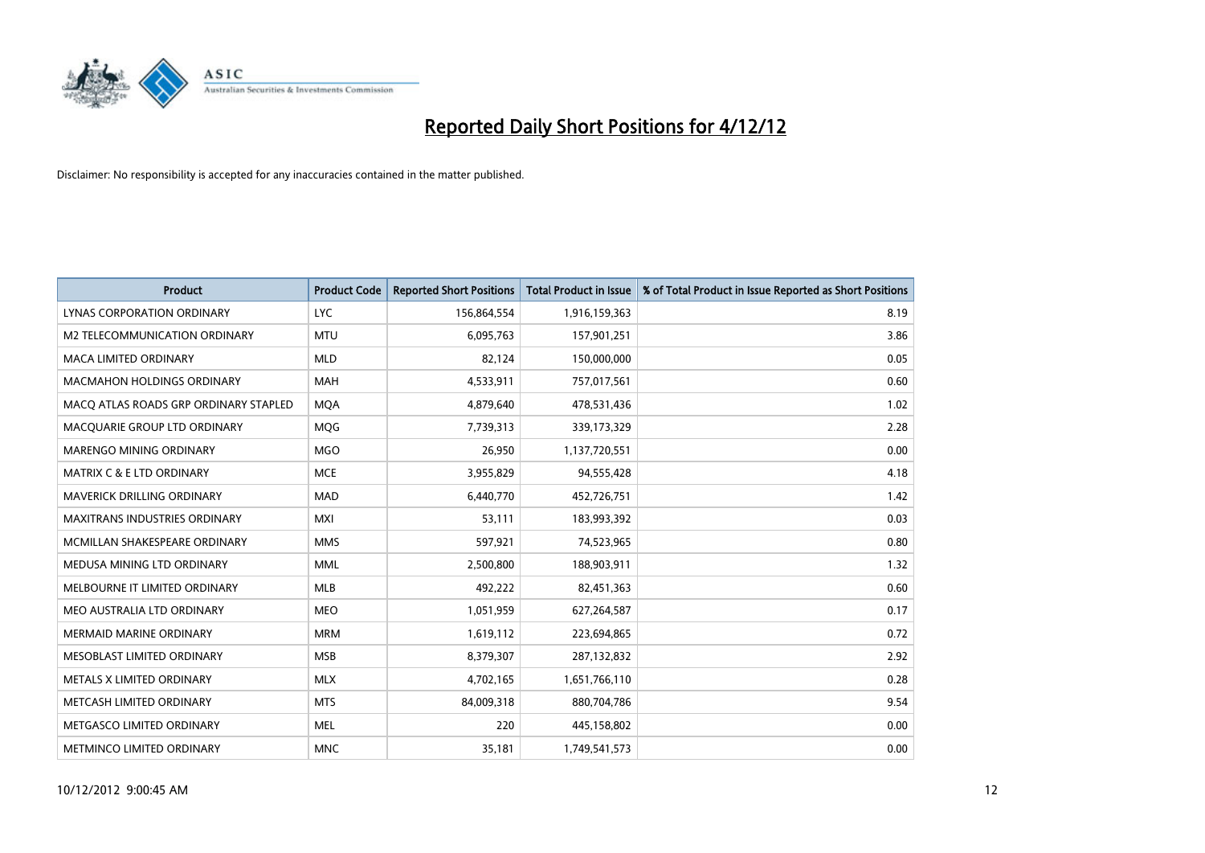

| <b>Product</b>                        | <b>Product Code</b> | <b>Reported Short Positions</b> | <b>Total Product in Issue</b> | % of Total Product in Issue Reported as Short Positions |
|---------------------------------------|---------------------|---------------------------------|-------------------------------|---------------------------------------------------------|
| LYNAS CORPORATION ORDINARY            | <b>LYC</b>          | 156,864,554                     | 1,916,159,363                 | 8.19                                                    |
| <b>M2 TELECOMMUNICATION ORDINARY</b>  | <b>MTU</b>          | 6,095,763                       | 157,901,251                   | 3.86                                                    |
| <b>MACA LIMITED ORDINARY</b>          | <b>MLD</b>          | 82,124                          | 150,000,000                   | 0.05                                                    |
| MACMAHON HOLDINGS ORDINARY            | <b>MAH</b>          | 4,533,911                       | 757,017,561                   | 0.60                                                    |
| MACO ATLAS ROADS GRP ORDINARY STAPLED | <b>MOA</b>          | 4,879,640                       | 478,531,436                   | 1.02                                                    |
| MACQUARIE GROUP LTD ORDINARY          | <b>MOG</b>          | 7,739,313                       | 339,173,329                   | 2.28                                                    |
| <b>MARENGO MINING ORDINARY</b>        | <b>MGO</b>          | 26,950                          | 1,137,720,551                 | 0.00                                                    |
| <b>MATRIX C &amp; E LTD ORDINARY</b>  | <b>MCE</b>          | 3,955,829                       | 94,555,428                    | 4.18                                                    |
| MAVERICK DRILLING ORDINARY            | <b>MAD</b>          | 6,440,770                       | 452,726,751                   | 1.42                                                    |
| <b>MAXITRANS INDUSTRIES ORDINARY</b>  | <b>MXI</b>          | 53,111                          | 183,993,392                   | 0.03                                                    |
| MCMILLAN SHAKESPEARE ORDINARY         | <b>MMS</b>          | 597,921                         | 74,523,965                    | 0.80                                                    |
| MEDUSA MINING LTD ORDINARY            | <b>MML</b>          | 2,500,800                       | 188,903,911                   | 1.32                                                    |
| MELBOURNE IT LIMITED ORDINARY         | <b>MLB</b>          | 492,222                         | 82,451,363                    | 0.60                                                    |
| MEO AUSTRALIA LTD ORDINARY            | <b>MEO</b>          | 1,051,959                       | 627,264,587                   | 0.17                                                    |
| <b>MERMAID MARINE ORDINARY</b>        | <b>MRM</b>          | 1,619,112                       | 223,694,865                   | 0.72                                                    |
| MESOBLAST LIMITED ORDINARY            | <b>MSB</b>          | 8,379,307                       | 287,132,832                   | 2.92                                                    |
| METALS X LIMITED ORDINARY             | <b>MLX</b>          | 4,702,165                       | 1,651,766,110                 | 0.28                                                    |
| METCASH LIMITED ORDINARY              | <b>MTS</b>          | 84,009,318                      | 880,704,786                   | 9.54                                                    |
| METGASCO LIMITED ORDINARY             | <b>MEL</b>          | 220                             | 445,158,802                   | 0.00                                                    |
| <b>METMINCO LIMITED ORDINARY</b>      | <b>MNC</b>          | 35,181                          | 1,749,541,573                 | 0.00                                                    |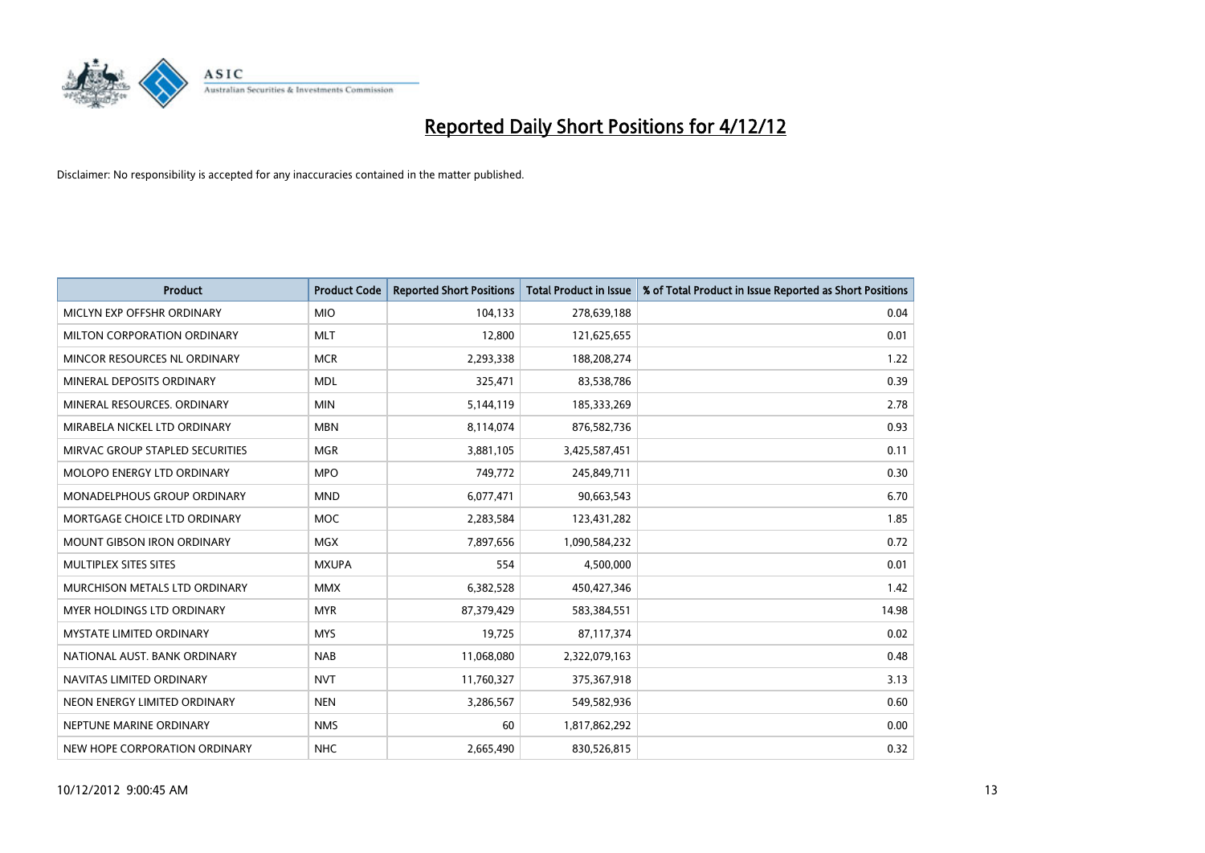

| <b>Product</b>                    | <b>Product Code</b> | <b>Reported Short Positions</b> | <b>Total Product in Issue</b> | % of Total Product in Issue Reported as Short Positions |
|-----------------------------------|---------------------|---------------------------------|-------------------------------|---------------------------------------------------------|
| MICLYN EXP OFFSHR ORDINARY        | <b>MIO</b>          | 104,133                         | 278,639,188                   | 0.04                                                    |
| MILTON CORPORATION ORDINARY       | <b>MLT</b>          | 12,800                          | 121,625,655                   | 0.01                                                    |
| MINCOR RESOURCES NL ORDINARY      | <b>MCR</b>          | 2,293,338                       | 188,208,274                   | 1.22                                                    |
| MINERAL DEPOSITS ORDINARY         | <b>MDL</b>          | 325,471                         | 83,538,786                    | 0.39                                                    |
| MINERAL RESOURCES, ORDINARY       | <b>MIN</b>          | 5,144,119                       | 185,333,269                   | 2.78                                                    |
| MIRABELA NICKEL LTD ORDINARY      | <b>MBN</b>          | 8,114,074                       | 876,582,736                   | 0.93                                                    |
| MIRVAC GROUP STAPLED SECURITIES   | <b>MGR</b>          | 3,881,105                       | 3,425,587,451                 | 0.11                                                    |
| <b>MOLOPO ENERGY LTD ORDINARY</b> | <b>MPO</b>          | 749,772                         | 245,849,711                   | 0.30                                                    |
| MONADELPHOUS GROUP ORDINARY       | <b>MND</b>          | 6,077,471                       | 90,663,543                    | 6.70                                                    |
| MORTGAGE CHOICE LTD ORDINARY      | <b>MOC</b>          | 2,283,584                       | 123,431,282                   | 1.85                                                    |
| <b>MOUNT GIBSON IRON ORDINARY</b> | <b>MGX</b>          | 7,897,656                       | 1,090,584,232                 | 0.72                                                    |
| MULTIPLEX SITES SITES             | <b>MXUPA</b>        | 554                             | 4,500,000                     | 0.01                                                    |
| MURCHISON METALS LTD ORDINARY     | <b>MMX</b>          | 6,382,528                       | 450,427,346                   | 1.42                                                    |
| <b>MYER HOLDINGS LTD ORDINARY</b> | <b>MYR</b>          | 87,379,429                      | 583,384,551                   | 14.98                                                   |
| <b>MYSTATE LIMITED ORDINARY</b>   | <b>MYS</b>          | 19,725                          | 87,117,374                    | 0.02                                                    |
| NATIONAL AUST. BANK ORDINARY      | <b>NAB</b>          | 11,068,080                      | 2,322,079,163                 | 0.48                                                    |
| NAVITAS LIMITED ORDINARY          | <b>NVT</b>          | 11,760,327                      | 375,367,918                   | 3.13                                                    |
| NEON ENERGY LIMITED ORDINARY      | <b>NEN</b>          | 3,286,567                       | 549,582,936                   | 0.60                                                    |
| NEPTUNE MARINE ORDINARY           | <b>NMS</b>          | 60                              | 1,817,862,292                 | 0.00                                                    |
| NEW HOPE CORPORATION ORDINARY     | <b>NHC</b>          | 2,665,490                       | 830,526,815                   | 0.32                                                    |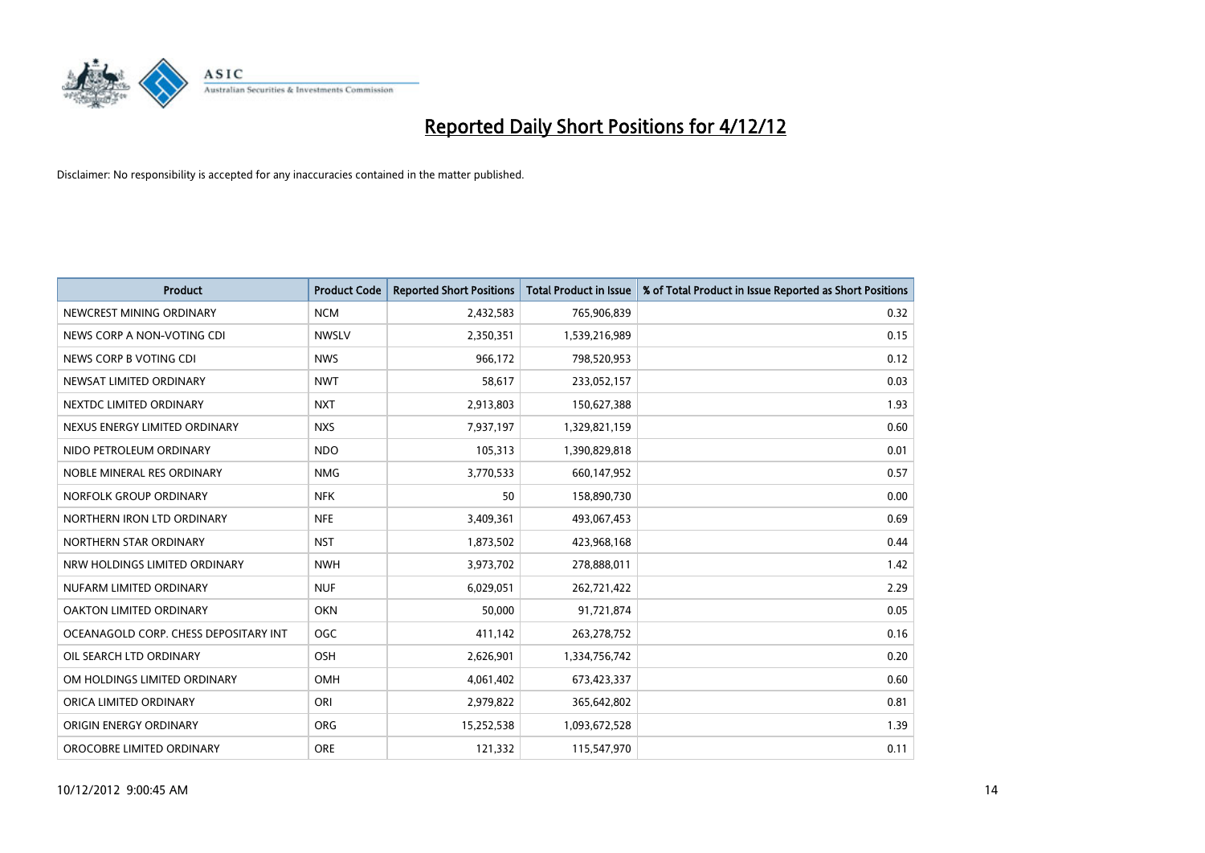

| <b>Product</b>                        | <b>Product Code</b> | <b>Reported Short Positions</b> | <b>Total Product in Issue</b> | % of Total Product in Issue Reported as Short Positions |
|---------------------------------------|---------------------|---------------------------------|-------------------------------|---------------------------------------------------------|
| NEWCREST MINING ORDINARY              | <b>NCM</b>          | 2,432,583                       | 765,906,839                   | 0.32                                                    |
| NEWS CORP A NON-VOTING CDI            | <b>NWSLV</b>        | 2,350,351                       | 1,539,216,989                 | 0.15                                                    |
| NEWS CORP B VOTING CDI                | <b>NWS</b>          | 966.172                         | 798,520,953                   | 0.12                                                    |
| NEWSAT LIMITED ORDINARY               | <b>NWT</b>          | 58,617                          | 233,052,157                   | 0.03                                                    |
| NEXTDC LIMITED ORDINARY               | <b>NXT</b>          | 2,913,803                       | 150,627,388                   | 1.93                                                    |
| NEXUS ENERGY LIMITED ORDINARY         | <b>NXS</b>          | 7,937,197                       | 1,329,821,159                 | 0.60                                                    |
| NIDO PETROLEUM ORDINARY               | <b>NDO</b>          | 105,313                         | 1,390,829,818                 | 0.01                                                    |
| NOBLE MINERAL RES ORDINARY            | <b>NMG</b>          | 3,770,533                       | 660,147,952                   | 0.57                                                    |
| NORFOLK GROUP ORDINARY                | <b>NFK</b>          | 50                              | 158,890,730                   | 0.00                                                    |
| NORTHERN IRON LTD ORDINARY            | <b>NFE</b>          | 3,409,361                       | 493,067,453                   | 0.69                                                    |
| NORTHERN STAR ORDINARY                | <b>NST</b>          | 1,873,502                       | 423,968,168                   | 0.44                                                    |
| NRW HOLDINGS LIMITED ORDINARY         | <b>NWH</b>          | 3,973,702                       | 278,888,011                   | 1.42                                                    |
| NUFARM LIMITED ORDINARY               | <b>NUF</b>          | 6,029,051                       | 262,721,422                   | 2.29                                                    |
| OAKTON LIMITED ORDINARY               | <b>OKN</b>          | 50,000                          | 91,721,874                    | 0.05                                                    |
| OCEANAGOLD CORP. CHESS DEPOSITARY INT | <b>OGC</b>          | 411,142                         | 263,278,752                   | 0.16                                                    |
| OIL SEARCH LTD ORDINARY               | OSH                 | 2,626,901                       | 1,334,756,742                 | 0.20                                                    |
| OM HOLDINGS LIMITED ORDINARY          | OMH                 | 4,061,402                       | 673,423,337                   | 0.60                                                    |
| ORICA LIMITED ORDINARY                | ORI                 | 2,979,822                       | 365,642,802                   | 0.81                                                    |
| ORIGIN ENERGY ORDINARY                | <b>ORG</b>          | 15,252,538                      | 1,093,672,528                 | 1.39                                                    |
| OROCOBRE LIMITED ORDINARY             | <b>ORE</b>          | 121,332                         | 115,547,970                   | 0.11                                                    |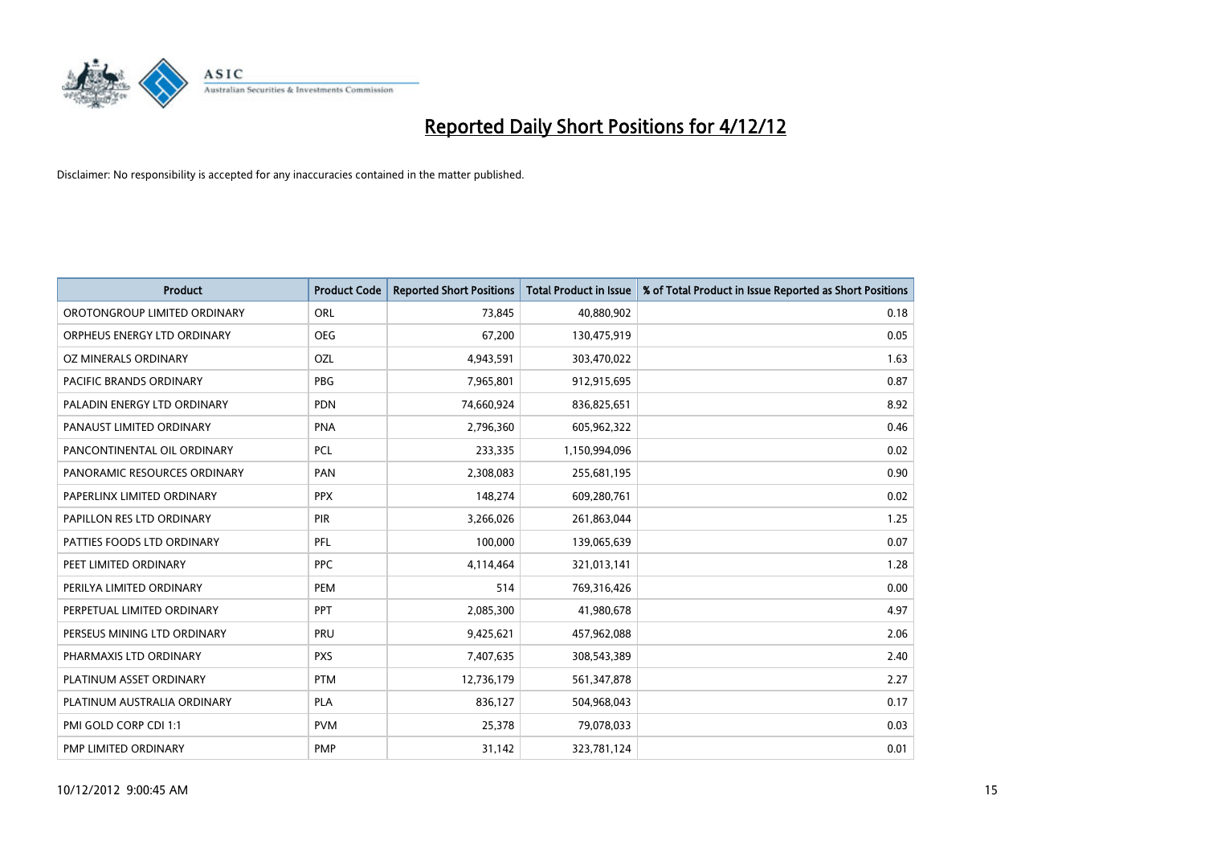

| <b>Product</b>               | <b>Product Code</b> | <b>Reported Short Positions</b> | <b>Total Product in Issue</b> | % of Total Product in Issue Reported as Short Positions |
|------------------------------|---------------------|---------------------------------|-------------------------------|---------------------------------------------------------|
| OROTONGROUP LIMITED ORDINARY | ORL                 | 73,845                          | 40,880,902                    | 0.18                                                    |
| ORPHEUS ENERGY LTD ORDINARY  | <b>OEG</b>          | 67,200                          | 130,475,919                   | 0.05                                                    |
| OZ MINERALS ORDINARY         | OZL                 | 4,943,591                       | 303,470,022                   | 1.63                                                    |
| PACIFIC BRANDS ORDINARY      | <b>PBG</b>          | 7,965,801                       | 912,915,695                   | 0.87                                                    |
| PALADIN ENERGY LTD ORDINARY  | <b>PDN</b>          | 74,660,924                      | 836,825,651                   | 8.92                                                    |
| PANAUST LIMITED ORDINARY     | <b>PNA</b>          | 2,796,360                       | 605,962,322                   | 0.46                                                    |
| PANCONTINENTAL OIL ORDINARY  | <b>PCL</b>          | 233,335                         | 1,150,994,096                 | 0.02                                                    |
| PANORAMIC RESOURCES ORDINARY | PAN                 | 2,308,083                       | 255,681,195                   | 0.90                                                    |
| PAPERLINX LIMITED ORDINARY   | <b>PPX</b>          | 148,274                         | 609,280,761                   | 0.02                                                    |
| PAPILLON RES LTD ORDINARY    | <b>PIR</b>          | 3,266,026                       | 261,863,044                   | 1.25                                                    |
| PATTIES FOODS LTD ORDINARY   | PFL                 | 100,000                         | 139,065,639                   | 0.07                                                    |
| PEET LIMITED ORDINARY        | <b>PPC</b>          | 4,114,464                       | 321,013,141                   | 1.28                                                    |
| PERILYA LIMITED ORDINARY     | PEM                 | 514                             | 769,316,426                   | 0.00                                                    |
| PERPETUAL LIMITED ORDINARY   | <b>PPT</b>          | 2,085,300                       | 41,980,678                    | 4.97                                                    |
| PERSEUS MINING LTD ORDINARY  | PRU                 | 9,425,621                       | 457,962,088                   | 2.06                                                    |
| PHARMAXIS LTD ORDINARY       | <b>PXS</b>          | 7,407,635                       | 308,543,389                   | 2.40                                                    |
| PLATINUM ASSET ORDINARY      | <b>PTM</b>          | 12,736,179                      | 561,347,878                   | 2.27                                                    |
| PLATINUM AUSTRALIA ORDINARY  | <b>PLA</b>          | 836,127                         | 504,968,043                   | 0.17                                                    |
| PMI GOLD CORP CDI 1:1        | <b>PVM</b>          | 25,378                          | 79,078,033                    | 0.03                                                    |
| PMP LIMITED ORDINARY         | <b>PMP</b>          | 31,142                          | 323,781,124                   | 0.01                                                    |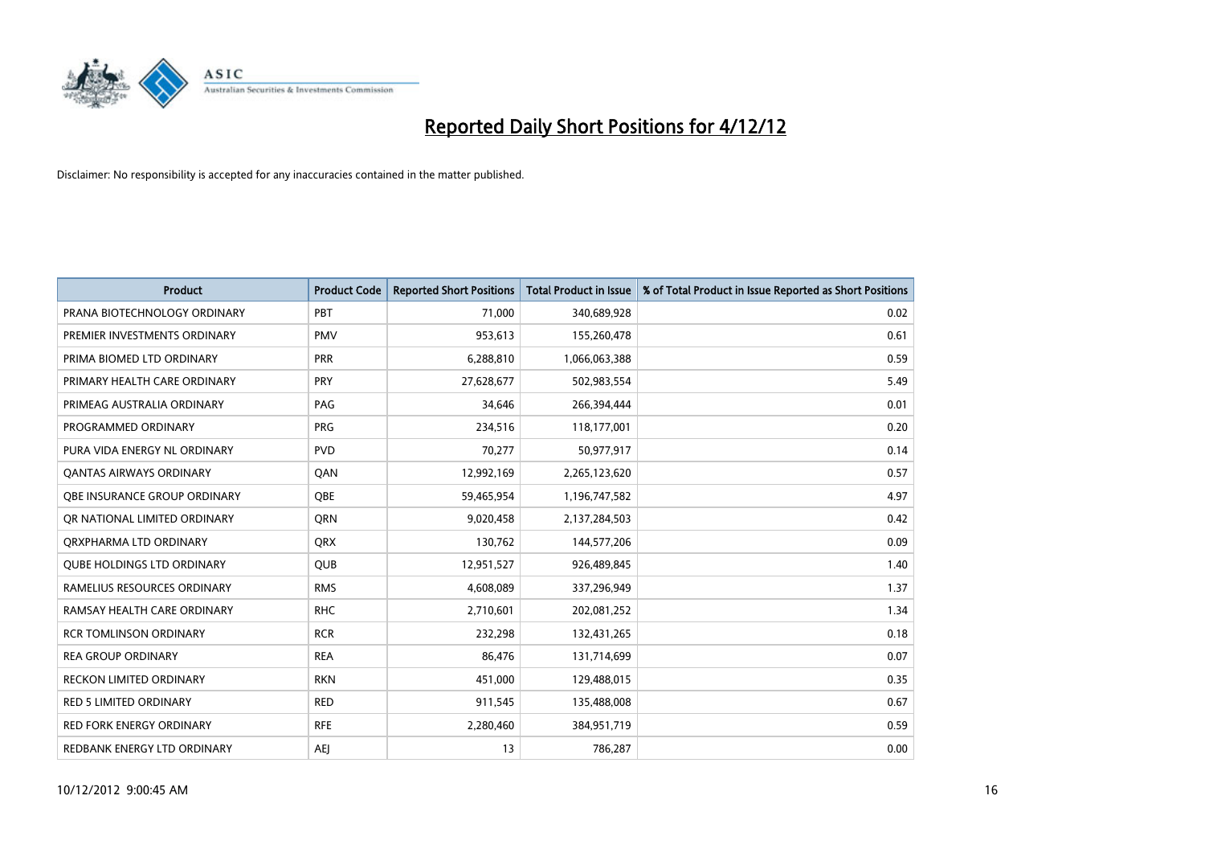

| <b>Product</b>                    | <b>Product Code</b> | <b>Reported Short Positions</b> | <b>Total Product in Issue</b> | % of Total Product in Issue Reported as Short Positions |
|-----------------------------------|---------------------|---------------------------------|-------------------------------|---------------------------------------------------------|
| PRANA BIOTECHNOLOGY ORDINARY      | PBT                 | 71,000                          | 340,689,928                   | 0.02                                                    |
| PREMIER INVESTMENTS ORDINARY      | <b>PMV</b>          | 953,613                         | 155,260,478                   | 0.61                                                    |
| PRIMA BIOMED LTD ORDINARY         | PRR                 | 6,288,810                       | 1,066,063,388                 | 0.59                                                    |
| PRIMARY HEALTH CARE ORDINARY      | <b>PRY</b>          | 27,628,677                      | 502,983,554                   | 5.49                                                    |
| PRIMEAG AUSTRALIA ORDINARY        | PAG                 | 34,646                          | 266,394,444                   | 0.01                                                    |
| PROGRAMMED ORDINARY               | <b>PRG</b>          | 234,516                         | 118,177,001                   | 0.20                                                    |
| PURA VIDA ENERGY NL ORDINARY      | <b>PVD</b>          | 70,277                          | 50,977,917                    | 0.14                                                    |
| <b>QANTAS AIRWAYS ORDINARY</b>    | QAN                 | 12,992,169                      | 2,265,123,620                 | 0.57                                                    |
| OBE INSURANCE GROUP ORDINARY      | <b>OBE</b>          | 59,465,954                      | 1,196,747,582                 | 4.97                                                    |
| OR NATIONAL LIMITED ORDINARY      | <b>ORN</b>          | 9,020,458                       | 2,137,284,503                 | 0.42                                                    |
| ORXPHARMA LTD ORDINARY            | <b>ORX</b>          | 130,762                         | 144,577,206                   | 0.09                                                    |
| <b>QUBE HOLDINGS LTD ORDINARY</b> | <b>QUB</b>          | 12,951,527                      | 926,489,845                   | 1.40                                                    |
| RAMELIUS RESOURCES ORDINARY       | <b>RMS</b>          | 4,608,089                       | 337,296,949                   | 1.37                                                    |
| RAMSAY HEALTH CARE ORDINARY       | <b>RHC</b>          | 2,710,601                       | 202,081,252                   | 1.34                                                    |
| <b>RCR TOMLINSON ORDINARY</b>     | <b>RCR</b>          | 232,298                         | 132,431,265                   | 0.18                                                    |
| <b>REA GROUP ORDINARY</b>         | <b>REA</b>          | 86,476                          | 131,714,699                   | 0.07                                                    |
| RECKON LIMITED ORDINARY           | <b>RKN</b>          | 451,000                         | 129,488,015                   | 0.35                                                    |
| <b>RED 5 LIMITED ORDINARY</b>     | <b>RED</b>          | 911,545                         | 135,488,008                   | 0.67                                                    |
| <b>RED FORK ENERGY ORDINARY</b>   | <b>RFE</b>          | 2,280,460                       | 384,951,719                   | 0.59                                                    |
| REDBANK ENERGY LTD ORDINARY       | <b>AEI</b>          | 13                              | 786,287                       | 0.00                                                    |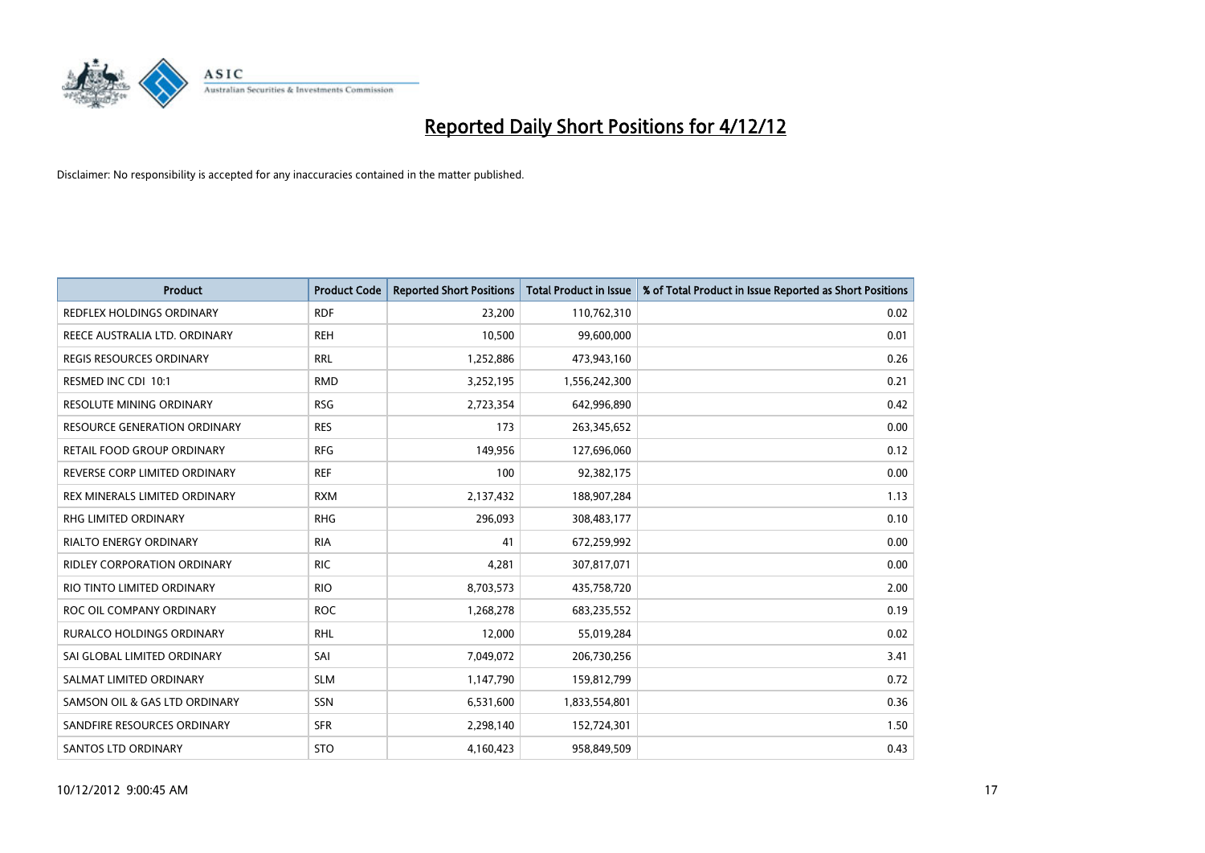

| <b>Product</b>                      | <b>Product Code</b> | <b>Reported Short Positions</b> | <b>Total Product in Issue</b> | % of Total Product in Issue Reported as Short Positions |
|-------------------------------------|---------------------|---------------------------------|-------------------------------|---------------------------------------------------------|
| REDFLEX HOLDINGS ORDINARY           | <b>RDF</b>          | 23.200                          | 110,762,310                   | 0.02                                                    |
| REECE AUSTRALIA LTD. ORDINARY       | <b>REH</b>          | 10,500                          | 99,600,000                    | 0.01                                                    |
| <b>REGIS RESOURCES ORDINARY</b>     | <b>RRL</b>          | 1,252,886                       | 473,943,160                   | 0.26                                                    |
| RESMED INC CDI 10:1                 | <b>RMD</b>          | 3,252,195                       | 1,556,242,300                 | 0.21                                                    |
| <b>RESOLUTE MINING ORDINARY</b>     | <b>RSG</b>          | 2,723,354                       | 642,996,890                   | 0.42                                                    |
| <b>RESOURCE GENERATION ORDINARY</b> | <b>RES</b>          | 173                             | 263,345,652                   | 0.00                                                    |
| RETAIL FOOD GROUP ORDINARY          | <b>RFG</b>          | 149,956                         | 127,696,060                   | 0.12                                                    |
| REVERSE CORP LIMITED ORDINARY       | <b>REF</b>          | 100                             | 92,382,175                    | 0.00                                                    |
| REX MINERALS LIMITED ORDINARY       | <b>RXM</b>          | 2,137,432                       | 188,907,284                   | 1.13                                                    |
| <b>RHG LIMITED ORDINARY</b>         | <b>RHG</b>          | 296,093                         | 308,483,177                   | 0.10                                                    |
| RIALTO ENERGY ORDINARY              | <b>RIA</b>          | 41                              | 672,259,992                   | 0.00                                                    |
| <b>RIDLEY CORPORATION ORDINARY</b>  | <b>RIC</b>          | 4,281                           | 307,817,071                   | 0.00                                                    |
| RIO TINTO LIMITED ORDINARY          | <b>RIO</b>          | 8,703,573                       | 435,758,720                   | 2.00                                                    |
| ROC OIL COMPANY ORDINARY            | <b>ROC</b>          | 1,268,278                       | 683,235,552                   | 0.19                                                    |
| <b>RURALCO HOLDINGS ORDINARY</b>    | <b>RHL</b>          | 12,000                          | 55,019,284                    | 0.02                                                    |
| SAI GLOBAL LIMITED ORDINARY         | SAI                 | 7,049,072                       | 206,730,256                   | 3.41                                                    |
| SALMAT LIMITED ORDINARY             | <b>SLM</b>          | 1,147,790                       | 159,812,799                   | 0.72                                                    |
| SAMSON OIL & GAS LTD ORDINARY       | SSN                 | 6,531,600                       | 1,833,554,801                 | 0.36                                                    |
| SANDFIRE RESOURCES ORDINARY         | <b>SFR</b>          | 2,298,140                       | 152,724,301                   | 1.50                                                    |
| <b>SANTOS LTD ORDINARY</b>          | <b>STO</b>          | 4,160,423                       | 958,849,509                   | 0.43                                                    |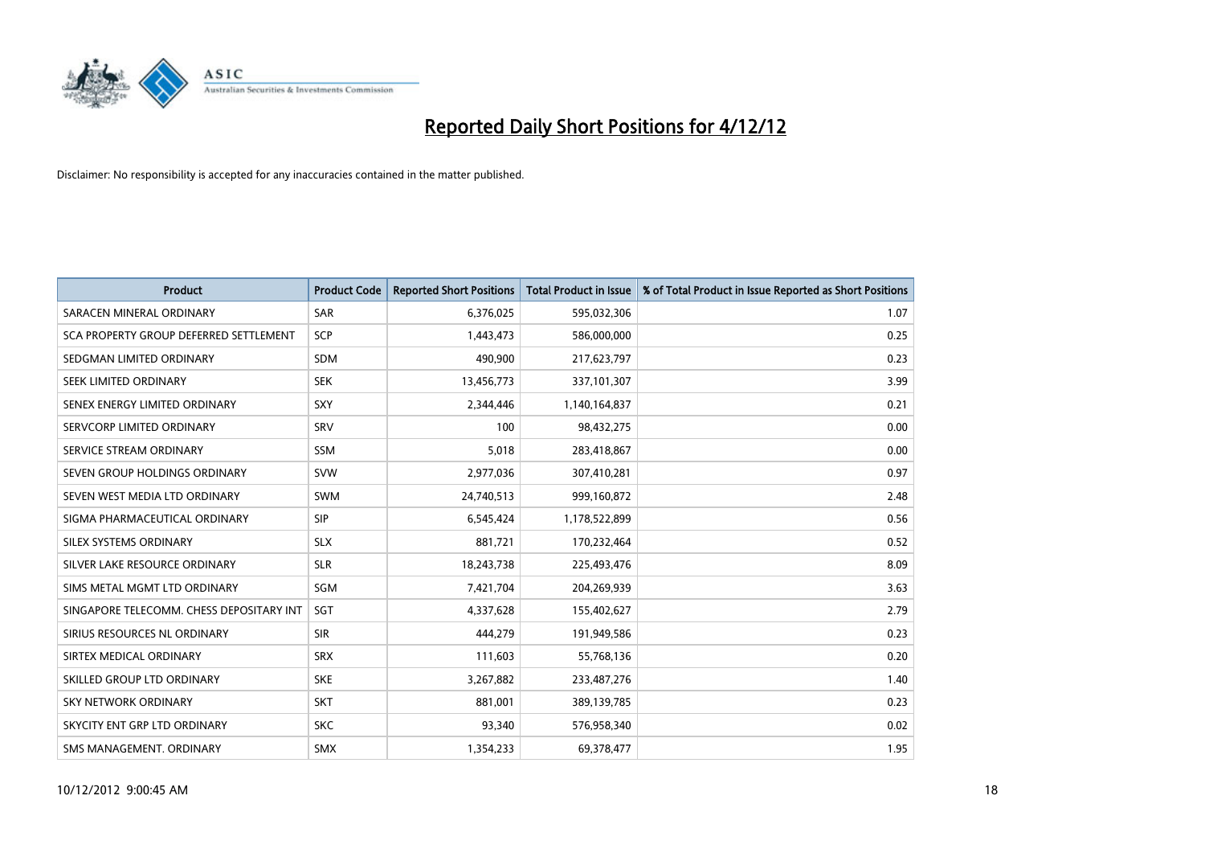

| <b>Product</b>                           | <b>Product Code</b> | <b>Reported Short Positions</b> | <b>Total Product in Issue</b> | % of Total Product in Issue Reported as Short Positions |
|------------------------------------------|---------------------|---------------------------------|-------------------------------|---------------------------------------------------------|
| SARACEN MINERAL ORDINARY                 | <b>SAR</b>          | 6,376,025                       | 595,032,306                   | 1.07                                                    |
| SCA PROPERTY GROUP DEFERRED SETTLEMENT   | <b>SCP</b>          | 1,443,473                       | 586,000,000                   | 0.25                                                    |
| SEDGMAN LIMITED ORDINARY                 | <b>SDM</b>          | 490,900                         | 217,623,797                   | 0.23                                                    |
| SEEK LIMITED ORDINARY                    | <b>SEK</b>          | 13,456,773                      | 337,101,307                   | 3.99                                                    |
| SENEX ENERGY LIMITED ORDINARY            | <b>SXY</b>          | 2,344,446                       | 1,140,164,837                 | 0.21                                                    |
| SERVCORP LIMITED ORDINARY                | SRV                 | 100                             | 98,432,275                    | 0.00                                                    |
| SERVICE STREAM ORDINARY                  | <b>SSM</b>          | 5,018                           | 283,418,867                   | 0.00                                                    |
| SEVEN GROUP HOLDINGS ORDINARY            | <b>SVW</b>          | 2,977,036                       | 307,410,281                   | 0.97                                                    |
| SEVEN WEST MEDIA LTD ORDINARY            | <b>SWM</b>          | 24,740,513                      | 999,160,872                   | 2.48                                                    |
| SIGMA PHARMACEUTICAL ORDINARY            | <b>SIP</b>          | 6,545,424                       | 1,178,522,899                 | 0.56                                                    |
| SILEX SYSTEMS ORDINARY                   | <b>SLX</b>          | 881,721                         | 170,232,464                   | 0.52                                                    |
| SILVER LAKE RESOURCE ORDINARY            | <b>SLR</b>          | 18,243,738                      | 225,493,476                   | 8.09                                                    |
| SIMS METAL MGMT LTD ORDINARY             | SGM                 | 7,421,704                       | 204,269,939                   | 3.63                                                    |
| SINGAPORE TELECOMM. CHESS DEPOSITARY INT | <b>SGT</b>          | 4,337,628                       | 155,402,627                   | 2.79                                                    |
| SIRIUS RESOURCES NL ORDINARY             | <b>SIR</b>          | 444.279                         | 191,949,586                   | 0.23                                                    |
| SIRTEX MEDICAL ORDINARY                  | <b>SRX</b>          | 111,603                         | 55,768,136                    | 0.20                                                    |
| SKILLED GROUP LTD ORDINARY               | <b>SKE</b>          | 3,267,882                       | 233,487,276                   | 1.40                                                    |
| SKY NETWORK ORDINARY                     | <b>SKT</b>          | 881,001                         | 389,139,785                   | 0.23                                                    |
| SKYCITY ENT GRP LTD ORDINARY             | <b>SKC</b>          | 93,340                          | 576,958,340                   | 0.02                                                    |
| SMS MANAGEMENT. ORDINARY                 | <b>SMX</b>          | 1,354,233                       | 69,378,477                    | 1.95                                                    |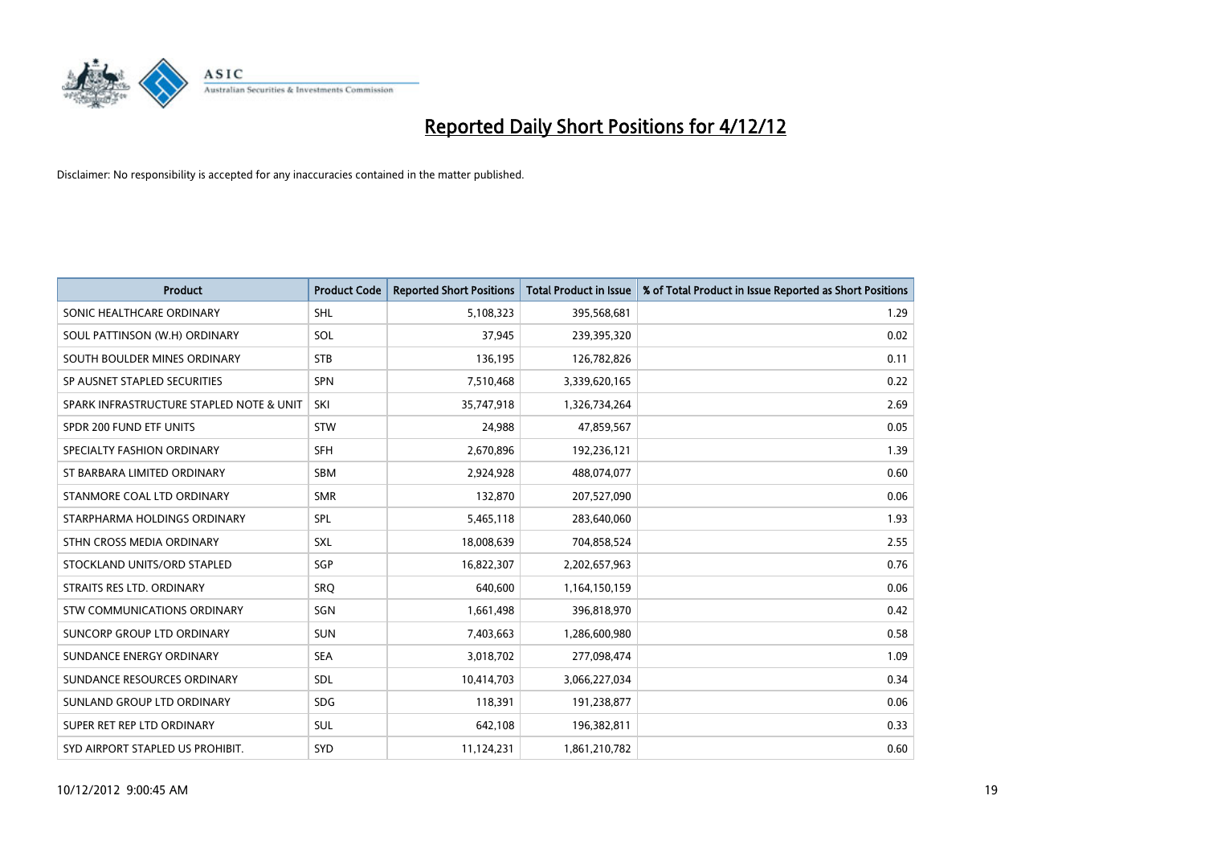

| <b>Product</b>                           | <b>Product Code</b> | <b>Reported Short Positions</b> | <b>Total Product in Issue</b> | % of Total Product in Issue Reported as Short Positions |
|------------------------------------------|---------------------|---------------------------------|-------------------------------|---------------------------------------------------------|
| SONIC HEALTHCARE ORDINARY                | <b>SHL</b>          | 5,108,323                       | 395,568,681                   | 1.29                                                    |
| SOUL PATTINSON (W.H) ORDINARY            | SOL                 | 37,945                          | 239,395,320                   | 0.02                                                    |
| SOUTH BOULDER MINES ORDINARY             | <b>STB</b>          | 136,195                         | 126,782,826                   | 0.11                                                    |
| SP AUSNET STAPLED SECURITIES             | <b>SPN</b>          | 7,510,468                       | 3,339,620,165                 | 0.22                                                    |
| SPARK INFRASTRUCTURE STAPLED NOTE & UNIT | SKI                 | 35,747,918                      | 1,326,734,264                 | 2.69                                                    |
| SPDR 200 FUND ETF UNITS                  | <b>STW</b>          | 24,988                          | 47,859,567                    | 0.05                                                    |
| SPECIALTY FASHION ORDINARY               | <b>SFH</b>          | 2,670,896                       | 192,236,121                   | 1.39                                                    |
| ST BARBARA LIMITED ORDINARY              | <b>SBM</b>          | 2,924,928                       | 488,074,077                   | 0.60                                                    |
| STANMORE COAL LTD ORDINARY               | <b>SMR</b>          | 132,870                         | 207,527,090                   | 0.06                                                    |
| STARPHARMA HOLDINGS ORDINARY             | SPL                 | 5,465,118                       | 283,640,060                   | 1.93                                                    |
| STHN CROSS MEDIA ORDINARY                | <b>SXL</b>          | 18,008,639                      | 704,858,524                   | 2.55                                                    |
| STOCKLAND UNITS/ORD STAPLED              | <b>SGP</b>          | 16,822,307                      | 2,202,657,963                 | 0.76                                                    |
| STRAITS RES LTD. ORDINARY                | SRQ                 | 640.600                         | 1,164,150,159                 | 0.06                                                    |
| <b>STW COMMUNICATIONS ORDINARY</b>       | SGN                 | 1,661,498                       | 396,818,970                   | 0.42                                                    |
| SUNCORP GROUP LTD ORDINARY               | <b>SUN</b>          | 7,403,663                       | 1,286,600,980                 | 0.58                                                    |
| SUNDANCE ENERGY ORDINARY                 | <b>SEA</b>          | 3,018,702                       | 277,098,474                   | 1.09                                                    |
| SUNDANCE RESOURCES ORDINARY              | <b>SDL</b>          | 10,414,703                      | 3,066,227,034                 | 0.34                                                    |
| SUNLAND GROUP LTD ORDINARY               | <b>SDG</b>          | 118,391                         | 191,238,877                   | 0.06                                                    |
| SUPER RET REP LTD ORDINARY               | <b>SUL</b>          | 642,108                         | 196,382,811                   | 0.33                                                    |
| SYD AIRPORT STAPLED US PROHIBIT.         | <b>SYD</b>          | 11,124,231                      | 1,861,210,782                 | 0.60                                                    |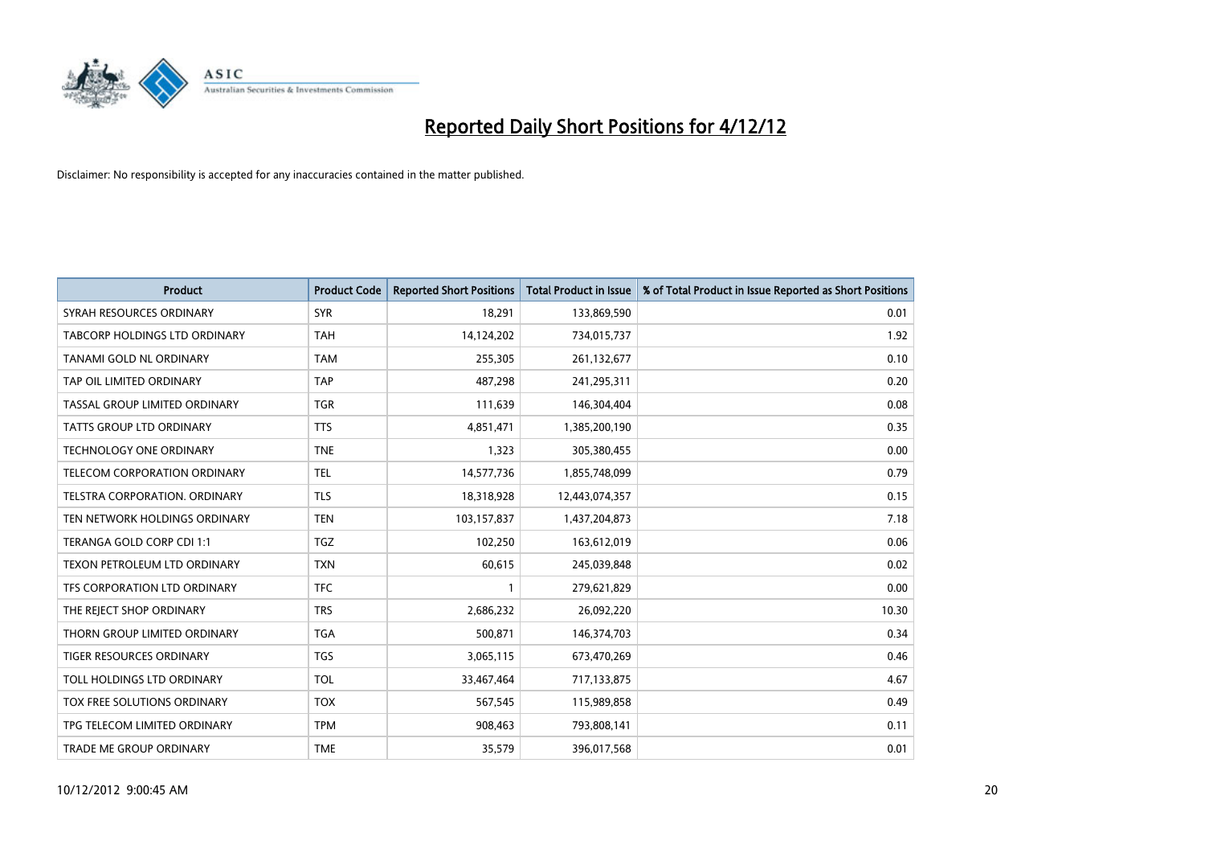

| <b>Product</b>                  | <b>Product Code</b> | <b>Reported Short Positions</b> | <b>Total Product in Issue</b> | % of Total Product in Issue Reported as Short Positions |
|---------------------------------|---------------------|---------------------------------|-------------------------------|---------------------------------------------------------|
| SYRAH RESOURCES ORDINARY        | <b>SYR</b>          | 18,291                          | 133,869,590                   | 0.01                                                    |
| TABCORP HOLDINGS LTD ORDINARY   | <b>TAH</b>          | 14,124,202                      | 734,015,737                   | 1.92                                                    |
| TANAMI GOLD NL ORDINARY         | <b>TAM</b>          | 255,305                         | 261,132,677                   | 0.10                                                    |
| TAP OIL LIMITED ORDINARY        | <b>TAP</b>          | 487,298                         | 241,295,311                   | 0.20                                                    |
| TASSAL GROUP LIMITED ORDINARY   | <b>TGR</b>          | 111,639                         | 146,304,404                   | 0.08                                                    |
| <b>TATTS GROUP LTD ORDINARY</b> | <b>TTS</b>          | 4,851,471                       | 1,385,200,190                 | 0.35                                                    |
| TECHNOLOGY ONE ORDINARY         | <b>TNE</b>          | 1,323                           | 305,380,455                   | 0.00                                                    |
| TELECOM CORPORATION ORDINARY    | <b>TEL</b>          | 14,577,736                      | 1,855,748,099                 | 0.79                                                    |
| TELSTRA CORPORATION, ORDINARY   | <b>TLS</b>          | 18,318,928                      | 12,443,074,357                | 0.15                                                    |
| TEN NETWORK HOLDINGS ORDINARY   | <b>TEN</b>          | 103,157,837                     | 1,437,204,873                 | 7.18                                                    |
| TERANGA GOLD CORP CDI 1:1       | <b>TGZ</b>          | 102,250                         | 163,612,019                   | 0.06                                                    |
| TEXON PETROLEUM LTD ORDINARY    | <b>TXN</b>          | 60,615                          | 245,039,848                   | 0.02                                                    |
| TFS CORPORATION LTD ORDINARY    | <b>TFC</b>          |                                 | 279,621,829                   | 0.00                                                    |
| THE REJECT SHOP ORDINARY        | <b>TRS</b>          | 2,686,232                       | 26,092,220                    | 10.30                                                   |
| THORN GROUP LIMITED ORDINARY    | <b>TGA</b>          | 500,871                         | 146,374,703                   | 0.34                                                    |
| TIGER RESOURCES ORDINARY        | <b>TGS</b>          | 3,065,115                       | 673,470,269                   | 0.46                                                    |
| TOLL HOLDINGS LTD ORDINARY      | <b>TOL</b>          | 33,467,464                      | 717,133,875                   | 4.67                                                    |
| TOX FREE SOLUTIONS ORDINARY     | <b>TOX</b>          | 567,545                         | 115,989,858                   | 0.49                                                    |
| TPG TELECOM LIMITED ORDINARY    | <b>TPM</b>          | 908,463                         | 793,808,141                   | 0.11                                                    |
| TRADE ME GROUP ORDINARY         | <b>TME</b>          | 35,579                          | 396,017,568                   | 0.01                                                    |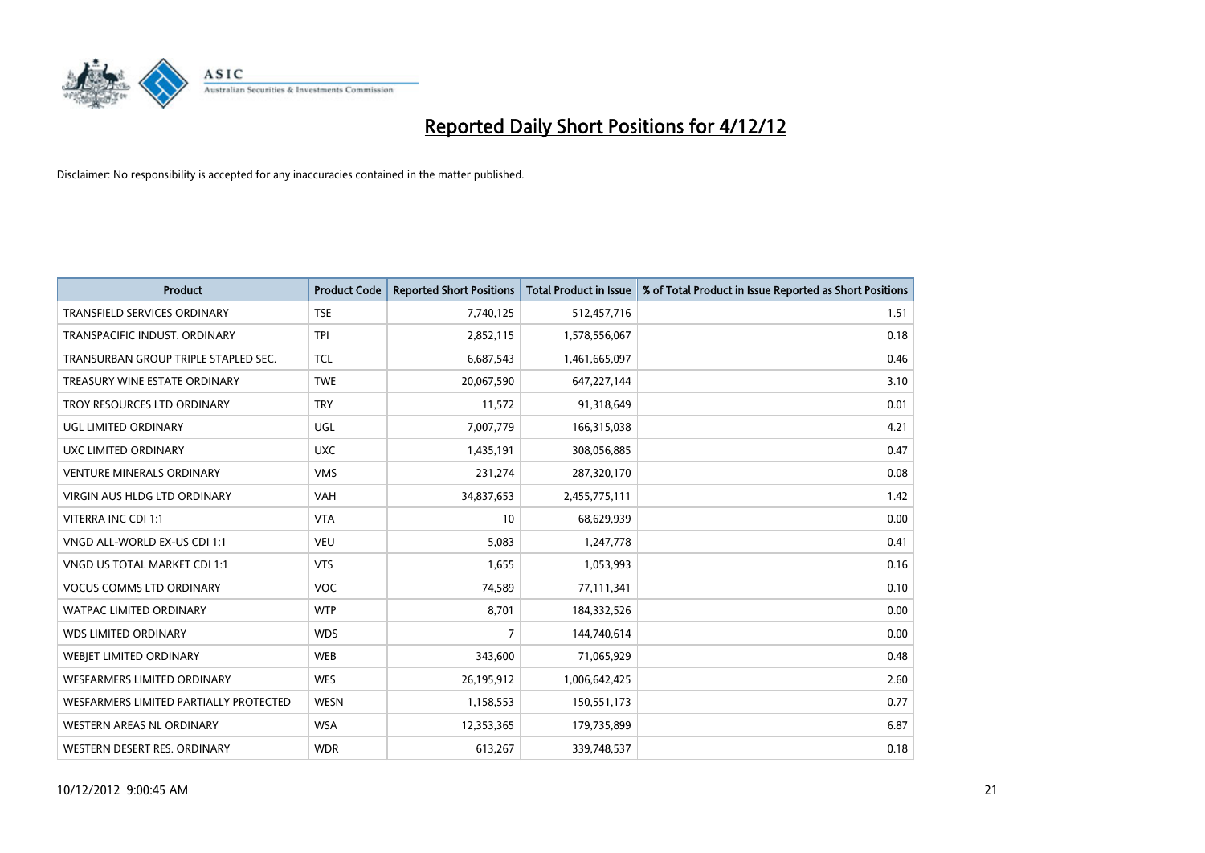

| <b>Product</b>                         | <b>Product Code</b> | <b>Reported Short Positions</b> | <b>Total Product in Issue</b> | % of Total Product in Issue Reported as Short Positions |
|----------------------------------------|---------------------|---------------------------------|-------------------------------|---------------------------------------------------------|
| <b>TRANSFIELD SERVICES ORDINARY</b>    | <b>TSE</b>          | 7,740,125                       | 512,457,716                   | 1.51                                                    |
| <b>TRANSPACIFIC INDUST, ORDINARY</b>   | <b>TPI</b>          | 2,852,115                       | 1,578,556,067                 | 0.18                                                    |
| TRANSURBAN GROUP TRIPLE STAPLED SEC.   | <b>TCL</b>          | 6,687,543                       | 1,461,665,097                 | 0.46                                                    |
| TREASURY WINE ESTATE ORDINARY          | <b>TWE</b>          | 20,067,590                      | 647,227,144                   | 3.10                                                    |
| TROY RESOURCES LTD ORDINARY            | <b>TRY</b>          | 11,572                          | 91,318,649                    | 0.01                                                    |
| UGL LIMITED ORDINARY                   | <b>UGL</b>          | 7,007,779                       | 166,315,038                   | 4.21                                                    |
| UXC LIMITED ORDINARY                   | <b>UXC</b>          | 1,435,191                       | 308,056,885                   | 0.47                                                    |
| <b>VENTURE MINERALS ORDINARY</b>       | <b>VMS</b>          | 231,274                         | 287,320,170                   | 0.08                                                    |
| <b>VIRGIN AUS HLDG LTD ORDINARY</b>    | <b>VAH</b>          | 34,837,653                      | 2,455,775,111                 | 1.42                                                    |
| VITERRA INC CDI 1:1                    | <b>VTA</b>          | 10                              | 68,629,939                    | 0.00                                                    |
| VNGD ALL-WORLD EX-US CDI 1:1           | <b>VEU</b>          | 5,083                           | 1,247,778                     | 0.41                                                    |
| <b>VNGD US TOTAL MARKET CDI 1:1</b>    | <b>VTS</b>          | 1,655                           | 1,053,993                     | 0.16                                                    |
| <b>VOCUS COMMS LTD ORDINARY</b>        | <b>VOC</b>          | 74,589                          | 77,111,341                    | 0.10                                                    |
| <b>WATPAC LIMITED ORDINARY</b>         | <b>WTP</b>          | 8.701                           | 184,332,526                   | 0.00                                                    |
| <b>WDS LIMITED ORDINARY</b>            | <b>WDS</b>          | 7                               | 144,740,614                   | 0.00                                                    |
| <b>WEBJET LIMITED ORDINARY</b>         | <b>WEB</b>          | 343,600                         | 71,065,929                    | 0.48                                                    |
| <b>WESFARMERS LIMITED ORDINARY</b>     | <b>WES</b>          | 26,195,912                      | 1,006,642,425                 | 2.60                                                    |
| WESFARMERS LIMITED PARTIALLY PROTECTED | <b>WESN</b>         | 1,158,553                       | 150,551,173                   | 0.77                                                    |
| <b>WESTERN AREAS NL ORDINARY</b>       | <b>WSA</b>          | 12,353,365                      | 179,735,899                   | 6.87                                                    |
| WESTERN DESERT RES. ORDINARY           | <b>WDR</b>          | 613,267                         | 339,748,537                   | 0.18                                                    |